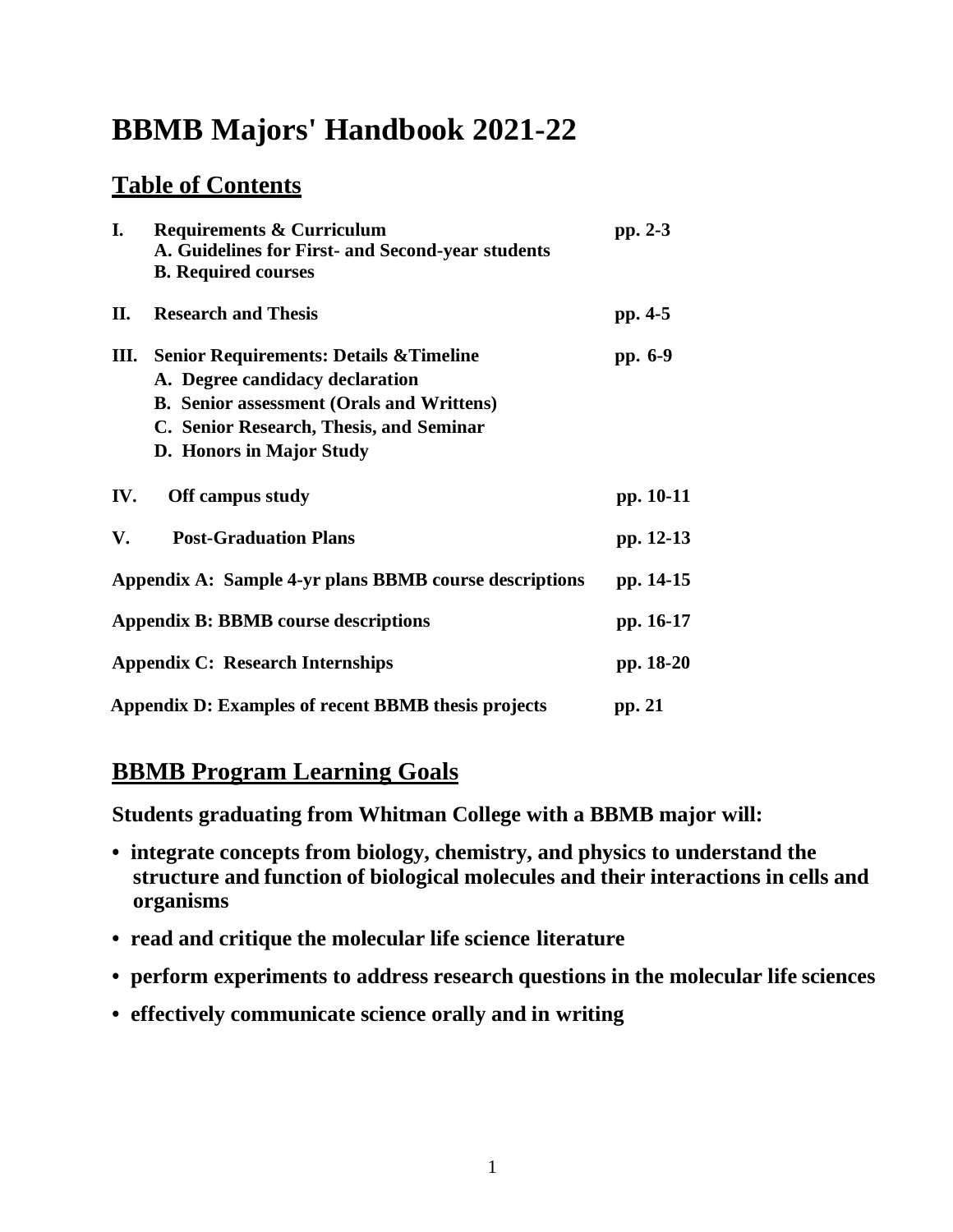# **BBMB Majors' Handbook 2021-22**

## **Table of Contents**

| I.  | <b>Requirements &amp; Curriculum</b><br>A. Guidelines for First- and Second-year students<br><b>B.</b> Required courses                                                                                          | pp. 2-3   |
|-----|------------------------------------------------------------------------------------------------------------------------------------------------------------------------------------------------------------------|-----------|
| П.  | <b>Research and Thesis</b>                                                                                                                                                                                       | pp. 4-5   |
| Ш.  | <b>Senior Requirements: Details &amp; Timeline</b><br>A. Degree candidacy declaration<br><b>B.</b> Senior assessment (Orals and Writtens)<br>C. Senior Research, Thesis, and Seminar<br>D. Honors in Major Study | pp. 6-9   |
| IV. | Off campus study                                                                                                                                                                                                 | pp. 10-11 |
| V.  | <b>Post-Graduation Plans</b>                                                                                                                                                                                     | pp. 12-13 |
|     | Appendix A: Sample 4-yr plans BBMB course descriptions                                                                                                                                                           | pp. 14-15 |
|     | <b>Appendix B: BBMB course descriptions</b>                                                                                                                                                                      | pp. 16-17 |
|     | <b>Appendix C: Research Internships</b>                                                                                                                                                                          | pp. 18-20 |
|     | Appendix D: Examples of recent BBMB thesis projects                                                                                                                                                              | pp. 21    |

## **BBMB Program Learning Goals**

**Students graduating from Whitman College with a BBMB major will:**

- **• integrate concepts from biology, chemistry, and physics to understand the structure and function of biological molecules and their interactions in cells and organisms**
- **• read and critique the molecular life science literature**
- **• perform experiments to address research questions in the molecular life sciences**
- **• effectively communicate science orally and in writing**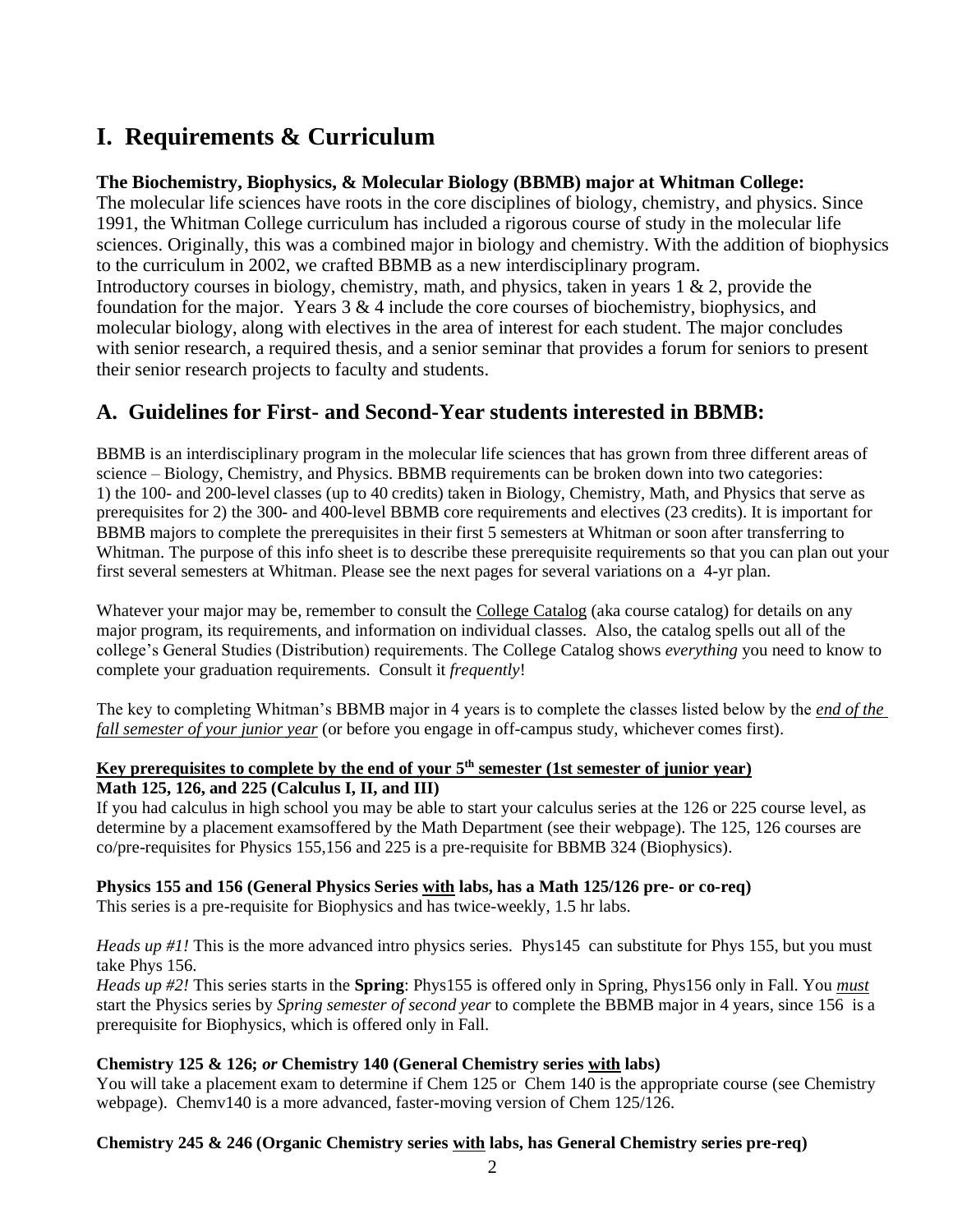## **I. Requirements & Curriculum**

## **The Biochemistry, Biophysics, & Molecular Biology (BBMB) major at Whitman College:**

The molecular life sciences have roots in the core disciplines of biology, chemistry, and physics. Since 1991, the Whitman College curriculum has included a rigorous course of study in the molecular life sciences. Originally, this was a combined major in biology and chemistry. With the addition of biophysics to the curriculum in 2002, we crafted BBMB as a new interdisciplinary program. Introductory courses in biology, chemistry, math, and physics, taken in years 1 & 2, provide the foundation for the major. Years  $3 \& 4$  include the core courses of biochemistry, biophysics, and molecular biology, along with electives in the area of interest for each student. The major concludes with senior research, a required thesis, and a senior seminar that provides a forum for seniors to present their senior research projects to faculty and students.

## **A. Guidelines for First- and Second-Year students interested in BBMB:**

BBMB is an interdisciplinary program in the molecular life sciences that has grown from three different areas of science – Biology, Chemistry, and Physics. BBMB requirements can be broken down into two categories: 1) the 100- and 200-level classes (up to 40 credits) taken in Biology, Chemistry, Math, and Physics that serve as prerequisites for 2) the 300- and 400-level BBMB core requirements and electives (23 credits). It is important for BBMB majors to complete the prerequisites in their first 5 semesters at Whitman or soon after transferring to Whitman. The purpose of this info sheet is to describe these prerequisite requirements so that you can plan out your first several semesters at Whitman. Please see the next pages for several variations on a 4-yr plan.

Whatever your major may be, remember to consult the College Catalog (aka course catalog) for details on any major program, its requirements, and information on individual classes. Also, the catalog spells out all of the college's General Studies (Distribution) requirements. The College Catalog shows *everything* you need to know to complete your graduation requirements. Consult it *frequently*!

The key to completing Whitman's BBMB major in 4 years is to complete the classes listed below by the *end of the fall semester of your junior year* (or before you engage in off-campus study, whichever comes first).

## **Key prerequisites to complete by the end of your 5th semester (1st semester of junior year) Math 125, 126, and 225 (Calculus I, II, and III)**

If you had calculus in high school you may be able to start your calculus series at the 126 or 225 course level, as determine by a placement examsoffered by the Math Department (see their webpage). The 125, 126 courses are co/pre-requisites for Physics 155,156 and 225 is a pre-requisite for BBMB 324 (Biophysics).

## **Physics 155 and 156 (General Physics Series with labs, has a Math 125/126 pre- or co-req)**

This series is a pre-requisite for Biophysics and has twice-weekly, 1.5 hr labs.

*Heads up #1!* This is the more advanced intro physics series. Phys145 can substitute for Phys 155, but you must take Phys 156.

*Heads up #2!* This series starts in the **Spring**: Phys155 is offered only in Spring, Phys156 only in Fall. You *must* start the Physics series by *Spring semester of second year* to complete the BBMB major in 4 years, since 156 is a prerequisite for Biophysics, which is offered only in Fall.

## **Chemistry 125 & 126;** *or* **Chemistry 140 (General Chemistry series with labs)**

You will take a placement exam to determine if Chem 125 or Chem 140 is the appropriate course (see Chemistry webpage). Chemv140 is a more advanced, faster-moving version of Chem 125/126.

## **Chemistry 245 & 246 (Organic Chemistry series with labs, has General Chemistry series pre-req)**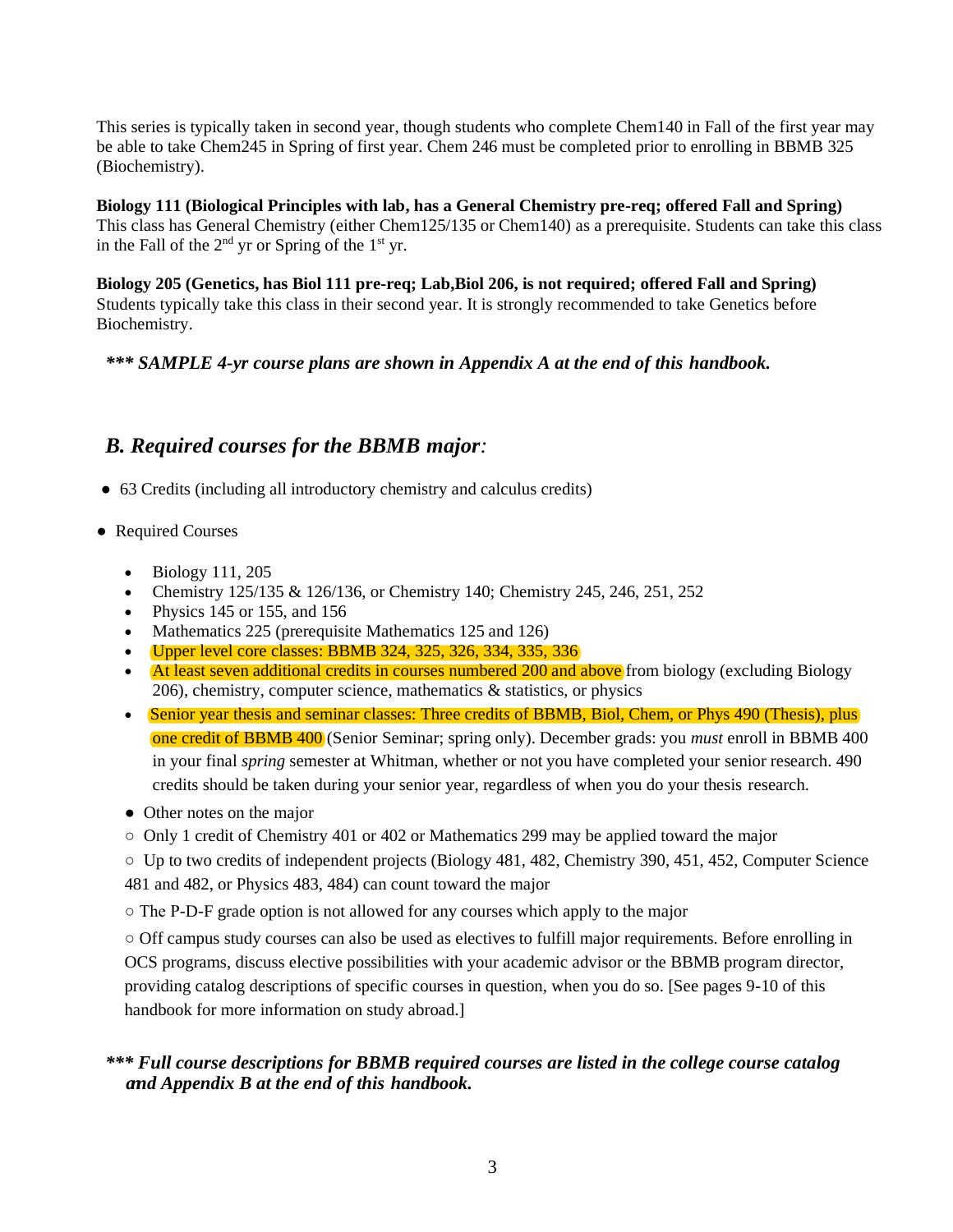This series is typically taken in second year, though students who complete Chem140 in Fall of the first year may be able to take Chem245 in Spring of first year. Chem 246 must be completed prior to enrolling in BBMB 325 (Biochemistry).

**Biology 111 (Biological Principles with lab, has a General Chemistry pre-req; offered Fall and Spring)**  This class has General Chemistry (either Chem125/135 or Chem140) as a prerequisite. Students can take this class in the Fall of the  $2<sup>nd</sup>$  yr or Spring of the  $1<sup>st</sup>$  yr.

**Biology 205 (Genetics, has Biol 111 pre-req; Lab,Biol 206, is not required; offered Fall and Spring)** Students typically take this class in their second year. It is strongly recommended to take Genetics before Biochemistry.

#### *\*\*\* SAMPLE 4-yr course plans are shown in Appendix A at the end of this handbook.*

## *B. Required courses for the BBMB major:*

- 63 Credits (including all introductory chemistry and calculus credits)
- Required Courses
	- Biology 111, 205
	- Chemistry 125/135 & 126/136, or Chemistry 140; Chemistry 245, 246, 251, 252
	- Physics 145 or 155, and 156
	- Mathematics 225 (prerequisite Mathematics 125 and 126)
	- Upper level core classes: BBMB 324, 325, 326, 334, 335, 336
	- At least seven additional credits in courses numbered 200 and above from biology (excluding Biology  $206$ ), chemistry, computer science, mathematics  $\&$  statistics, or physics
	- Senior year thesis and seminar classes: Three credit*s* of BBMB, Biol, Chem, or Phys 490 (Thesis), plus one credit of BBMB 400 (Senior Seminar; spring only). December grads: you *must* enroll in BBMB 400 in your final *spring* semester at Whitman, whether or not you have completed your senior research. 490 credits should be taken during your senior year, regardless of when you do your thesis research.
	- Other notes on the major
	- Only 1 credit of Chemistry 401 or 402 or Mathematics 299 may be applied toward the major

 $\circ$  Up to two credits of independent projects (Biology 481, 482, Chemistry 390, 451, 452, Computer Science 481 and 482, or Physics 483, 484) can count toward the major

 $\circ$  The P-D-F grade option is not allowed for any courses which apply to the major

○ Off campus study courses can also be used as electives to fulfill major requirements. Before enrolling in OCS programs, discuss elective possibilities with your academic advisor or the BBMB program director, providing catalog descriptions of specific courses in question, when you do so. [See pages 9-10 of this handbook for more information on study abroad.]

## *\*\*\* Full course descriptions for BBMB required courses are listed in the college course catalog annd Appendix B at the end of this handbook.*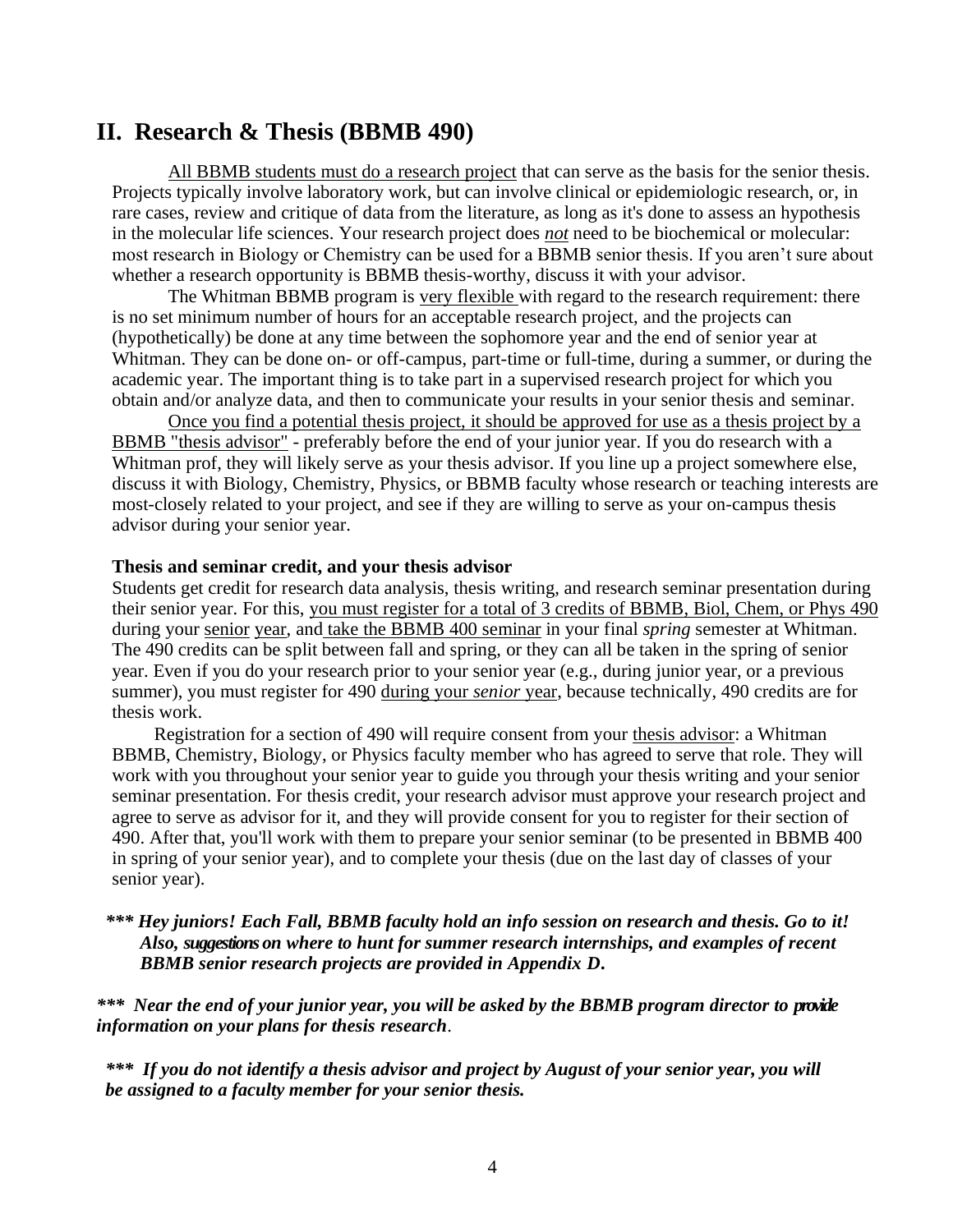## **II. Research & Thesis (BBMB 490)**

All BBMB students must do a research project that can serve as the basis for the senior thesis. Projects typically involve laboratory work, but can involve clinical or epidemiologic research, or, in rare cases, review and critique of data from the literature, as long as it's done to assess an hypothesis in the molecular life sciences. Your research project does *not* need to be biochemical or molecular: most research in Biology or Chemistry can be used for a BBMB senior thesis. If you aren't sure about whether a research opportunity is BBMB thesis-worthy, discuss it with your advisor.

The Whitman BBMB program is very flexible with regard to the research requirement: there is no set minimum number of hours for an acceptable research project, and the projects can (hypothetically) be done at any time between the sophomore year and the end of senior year at Whitman. They can be done on- or off-campus, part-time or full-time, during a summer, or during the academic year. The important thing is to take part in a supervised research project for which you obtain and/or analyze data, and then to communicate your results in your senior thesis and seminar.

Once you find a potential thesis project, it should be approved for use as a thesis project by a BBMB "thesis advisor" - preferably before the end of your junior year. If you do research with a Whitman prof, they will likely serve as your thesis advisor. If you line up a project somewhere else, discuss it with Biology, Chemistry, Physics, or BBMB faculty whose research or teaching interests are most-closely related to your project, and see if they are willing to serve as your on-campus thesis advisor during your senior year.

#### **Thesis and seminar credit, and your thesis advisor**

Students get credit for research data analysis, thesis writing, and research seminar presentation during their senior year. For this, you must register for a total of 3 credits of BBMB, Biol, Chem, or Phys 490 during your senior year, and take the BBMB 400 seminar in your final *spring* semester at Whitman. The 490 credits can be split between fall and spring, or they can all be taken in the spring of senior year. Even if you do your research prior to your senior year (e.g., during junior year, or a previous summer), you must register for 490 during your *senior* year, because technically, 490 credits are for thesis work.

Registration for a section of 490 will require consent from your thesis advisor: a Whitman BBMB, Chemistry, Biology, or Physics faculty member who has agreed to serve that role. They will work with you throughout your senior year to guide you through your thesis writing and your senior seminar presentation. For thesis credit, your research advisor must approve your research project and agree to serve as advisor for it, and they will provide consent for you to register for their section of 490. After that, you'll work with them to prepare your senior seminar (to be presented in BBMB 400 in spring of your senior year), and to complete your thesis (due on the last day of classes of your senior year).

## *\*\*\* Hey juniors! Each Fall, BBMB faculty hold an info session on research and thesis. Go to it! Also, suggestions on where to hunt for summer research internships, and examples of recent BBMB senior research projects are provided in Appendix D.*

*\*\*\* Near the end of your junior year, you will be asked by the BBMB program director to provide information on your plans for thesis research*.

*\*\*\* If you do not identify a thesis advisor and project by August of your senior year, you will be assigned to a faculty member for your senior thesis.*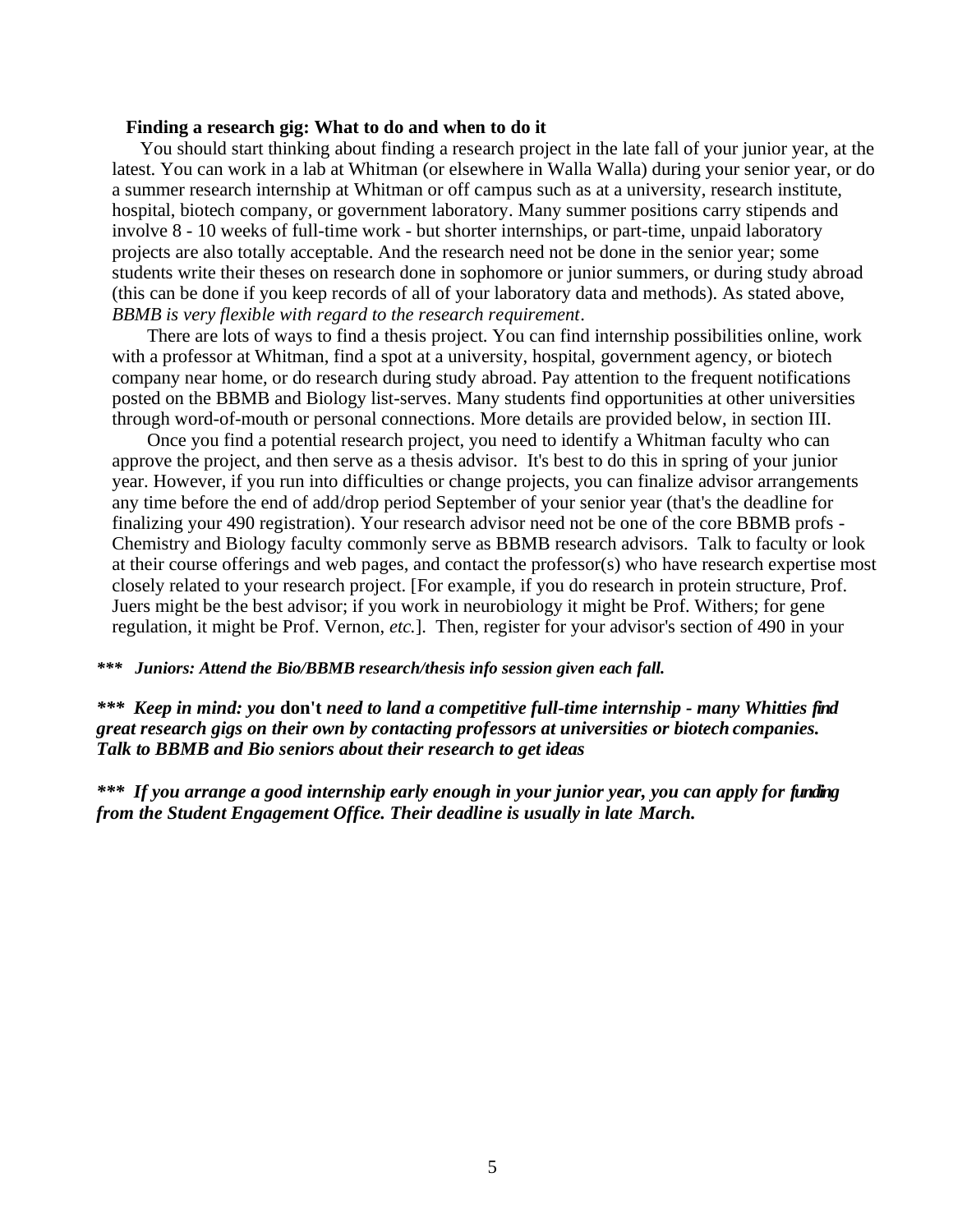#### **Finding a research gig: What to do and when to do it**

You should start thinking about finding a research project in the late fall of your junior year, at the latest. You can work in a lab at Whitman (or elsewhere in Walla Walla) during your senior year, or do a summer research internship at Whitman or off campus such as at a university, research institute, hospital, biotech company, or government laboratory. Many summer positions carry stipends and involve 8 - 10 weeks of full-time work - but shorter internships, or part-time, unpaid laboratory projects are also totally acceptable. And the research need not be done in the senior year; some students write their theses on research done in sophomore or junior summers, or during study abroad (this can be done if you keep records of all of your laboratory data and methods). As stated above, *BBMB is very flexible with regard to the research requirement*.

There are lots of ways to find a thesis project. You can find internship possibilities online, work with a professor at Whitman, find a spot at a university, hospital, government agency, or biotech company near home, or do research during study abroad. Pay attention to the frequent notifications posted on the BBMB and Biology list-serves. Many students find opportunities at other universities through word-of-mouth or personal connections. More details are provided below, in section III.

Once you find a potential research project, you need to identify a Whitman faculty who can approve the project, and then serve as a thesis advisor. It's best to do this in spring of your junior year. However, if you run into difficulties or change projects, you can finalize advisor arrangements any time before the end of add/drop period September of your senior year (that's the deadline for finalizing your 490 registration). Your research advisor need not be one of the core BBMB profs - Chemistry and Biology faculty commonly serve as BBMB research advisors. Talk to faculty or look at their course offerings and web pages, and contact the professor(s) who have research expertise most closely related to your research project. [For example, if you do research in protein structure, Prof. Juers might be the best advisor; if you work in neurobiology it might be Prof. Withers; for gene regulation, it might be Prof. Vernon, *etc.*]. Then, register for your advisor's section of 490 in your

#### *\*\*\* Juniors: Attend the Bio/BBMB research/thesis info session given each fall.*

*\*\*\* Keep in mind: you* **don't** *need to land a competitive full-time internship - many Whitties find great research gigs on their own by contacting professors at universities or biotech companies. Talk to BBMB and Bio seniors about their research to get ideas*

*\*\*\* If you arrange a good internship early enough in your junior year, you can apply for funding from the Student Engagement Office. Their deadline is usually in late March.*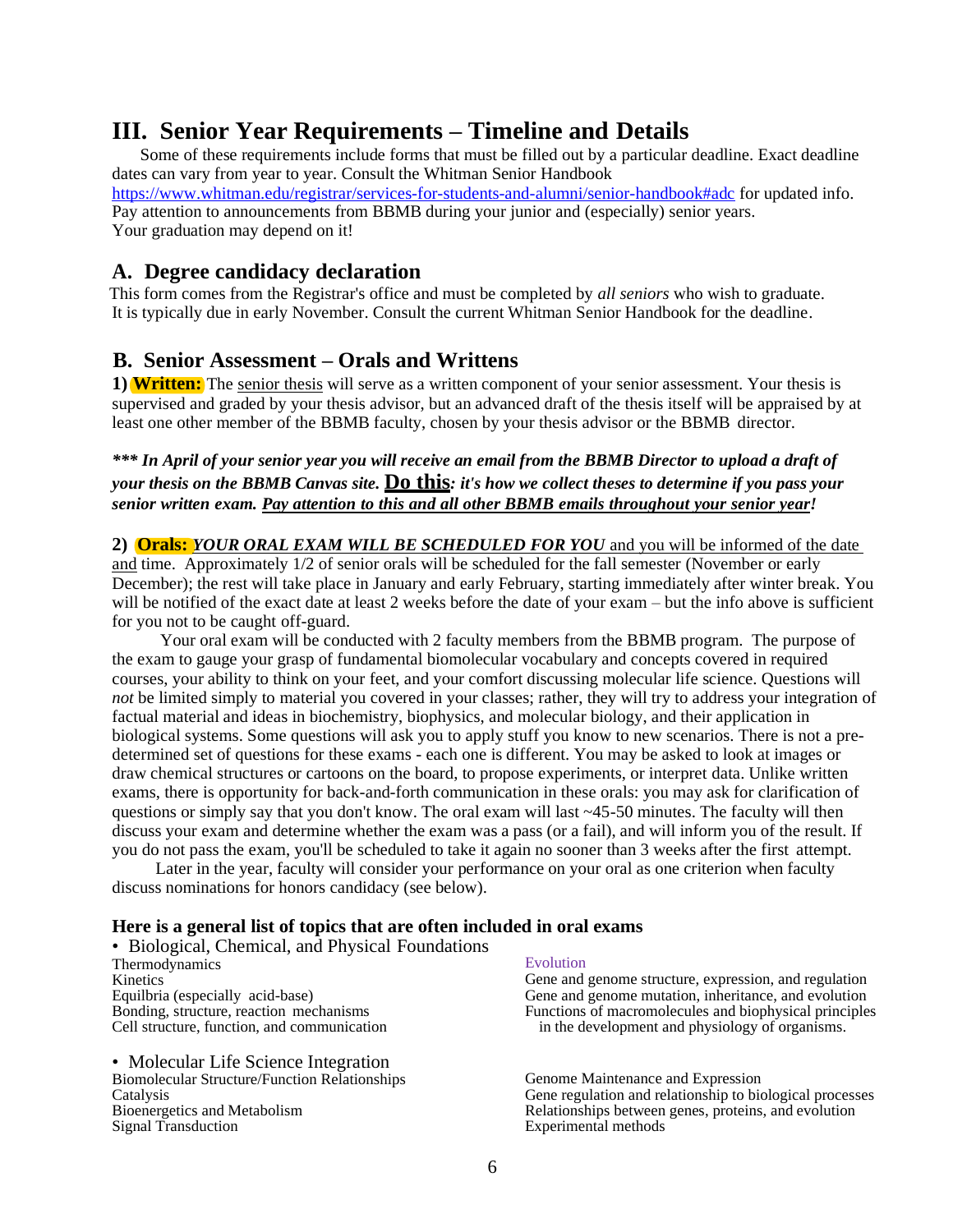## **III. Senior Year Requirements – Timeline and Details**

Some of these requirements include forms that must be filled out by a particular deadline. Exact deadline dates can vary from year to year. Consult the Whitman Senior Handbook https:/[/www.whitman.edu/registrar/services-for-students-and-alumni/senior-handbook#adc](http://www.whitman.edu/registrar/services-for-students-and-alumni/senior-handbook#adc) for updated info. Pay attention to announcements from BBMB during your junior and (especially) senior years. Your graduation may depend on it!

## **A. Degree candidacy declaration**

 This form comes from the Registrar's office and must be completed by *all seniors* who wish to graduate. It is typically due in early November. Consult the current Whitman Senior Handbook for the deadline.

## **B. Senior Assessment – Orals and Writtens**

**1) Written:** The senior thesis will serve as a written component of your senior assessment. Your thesis is supervised and graded by your thesis advisor, but an advanced draft of the thesis itself will be appraised by at least one other member of the BBMB faculty, chosen by your thesis advisor or the BBMB director.

*\*\*\* In April of your senior year you will receive an email from the BBMB Director to upload a draft of your thesis on the BBMB Canvas site.* **Do this***: it's how we collect theses to determine if you pass your senior written exam. Pay attention to this and all other BBMB emails throughout your senior year!*

**2) Orals:** *YOUR ORAL EXAM WILL BE SCHEDULED FOR YOU* and you will be informed of the date and time. Approximately 1/2 of senior orals will be scheduled for the fall semester (November or early December); the rest will take place in January and early February, starting immediately after winter break. You will be notified of the exact date at least 2 weeks before the date of your exam – but the info above is sufficient for you not to be caught off-guard.

Your oral exam will be conducted with 2 faculty members from the BBMB program. The purpose of the exam to gauge your grasp of fundamental biomolecular vocabulary and concepts covered in required courses, your ability to think on your feet, and your comfort discussing molecular life science. Questions will *not* be limited simply to material you covered in your classes; rather, they will try to address your integration of factual material and ideas in biochemistry, biophysics, and molecular biology, and their application in biological systems. Some questions will ask you to apply stuff you know to new scenarios. There is not a predetermined set of questions for these exams - each one is different. You may be asked to look at images or draw chemical structures or cartoons on the board, to propose experiments, or interpret data. Unlike written exams, there is opportunity for back-and-forth communication in these orals: you may ask for clarification of questions or simply say that you don't know. The oral exam will last  $~45-50$  minutes. The faculty will then discuss your exam and determine whether the exam was a pass (or a fail), and will inform you of the result. If you do not pass the exam, you'll be scheduled to take it again no sooner than 3 weeks after the first attempt.

Later in the year, faculty will consider your performance on your oral as one criterion when faculty discuss nominations for honors candidacy (see below).

#### **Here is a general list of topics that are often included in oral exams**

• Biological, Chemical, and Physical Foundations Thermodynamics **Kinetics** Equilbria (especially acid-base) Bonding, structure, reaction mechanisms Cell structure, function, and communication

• Molecular Life Science Integration Biomolecular Structure/Function Relationships Catalysis Bioenergetics and Metabolism Signal Transduction

#### Evolution

Gene and genome structure, expression, and regulation Gene and genome mutation, inheritance, and evolution Functions of macromolecules and biophysical principles in the development and physiology of organisms.

Genome Maintenance and Expression Gene regulation and relationship to biological processes Relationships between genes, proteins, and evolution Experimental methods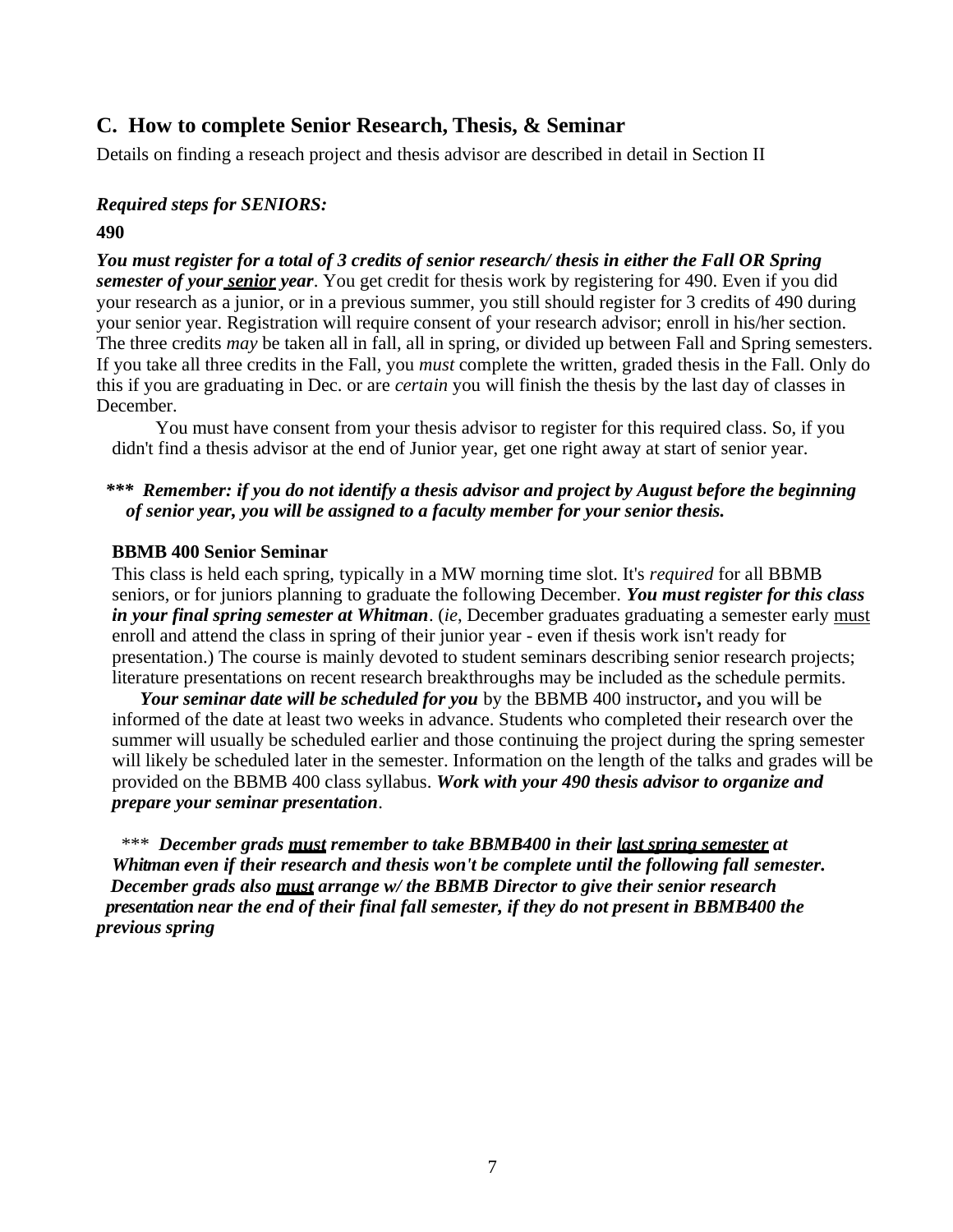## **C. How to complete Senior Research, Thesis, & Seminar**

Details on finding a reseach project and thesis advisor are described in detail in Section II

## *Required steps for SENIORS:*

### **490**

*You must register for a total of 3 credits of senior research/ thesis in either the Fall OR Spring semester of your senior year*. You get credit for thesis work by registering for 490. Even if you did your research as a junior, or in a previous summer, you still should register for 3 credits of 490 during your senior year. Registration will require consent of your research advisor; enroll in his/her section. The three credits *may* be taken all in fall, all in spring, or divided up between Fall and Spring semesters. If you take all three credits in the Fall, you *must* complete the written, graded thesis in the Fall. Only do this if you are graduating in Dec. or are *certain* you will finish the thesis by the last day of classes in December.

You must have consent from your thesis advisor to register for this required class. So, if you didn't find a thesis advisor at the end of Junior year, get one right away at start of senior year.

## *\*\*\* Remember: if you do not identify a thesis advisor and project by August before the beginning of senior year, you will be assigned to a faculty member for your senior thesis.*

## **BBMB 400 Senior Seminar**

This class is held each spring, typically in a MW morning time slot. It's *required* for all BBMB seniors, or for juniors planning to graduate the following December. *You must register for this class in your final spring semester at Whitman*. (*ie*, December graduates graduating a semester early must enroll and attend the class in spring of their junior year - even if thesis work isn't ready for presentation.) The course is mainly devoted to student seminars describing senior research projects; literature presentations on recent research breakthroughs may be included as the schedule permits.

*Your seminar date will be scheduled for you* by the BBMB 400 instructor**,** and you will be informed of the date at least two weeks in advance. Students who completed their research over the summer will usually be scheduled earlier and those continuing the project during the spring semester will likely be scheduled later in the semester. Information on the length of the talks and grades will be provided on the BBMB 400 class syllabus. *Work with your 490 thesis advisor to organize and prepare your seminar presentation*.

 \*\*\* *December grads must remember to take BBMB400 in their last spring semester at Whitman even if their research and thesis won't be complete until the following fall semester. December grads also must arrange w/ the BBMB Director to give their senior research presentation near the end of their final fall semester, if they do not present in BBMB400 the previous spring*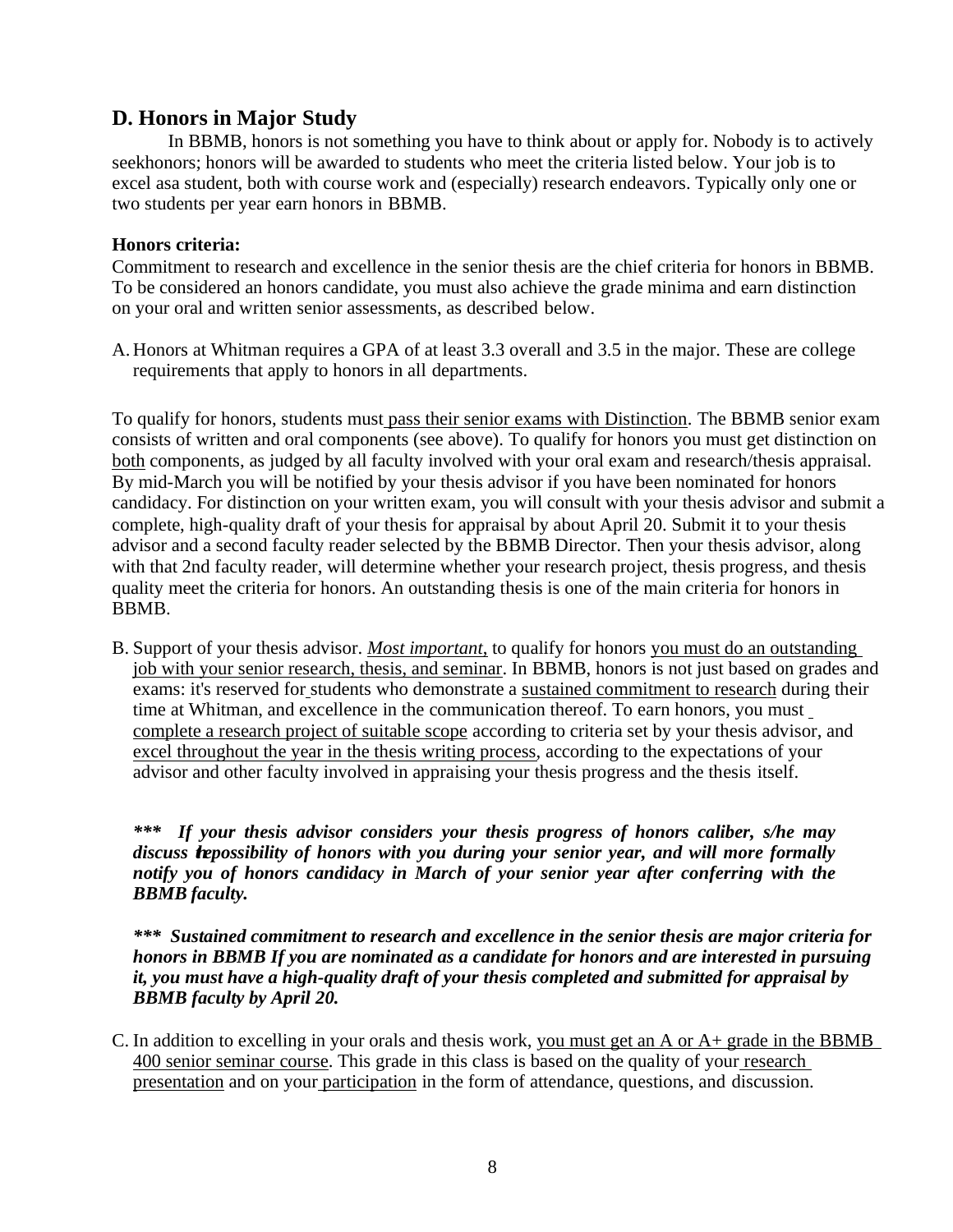## **D. Honors in Major Study**

In BBMB, honors is not something you have to think about or apply for. Nobody is to actively seekhonors; honors will be awarded to students who meet the criteria listed below. Your job is to excel asa student, both with course work and (especially) research endeavors. Typically only one or two students per year earn honors in BBMB.

## **Honors criteria:**

Commitment to research and excellence in the senior thesis are the chief criteria for honors in BBMB. To be considered an honors candidate, you must also achieve the grade minima and earn distinction on your oral and written senior assessments, as described below.

A. Honors at Whitman requires a GPA of at least 3.3 overall and 3.5 in the major. These are college requirements that apply to honors in all departments.

To qualify for honors, students must pass their senior exams with Distinction. The BBMB senior exam consists of written and oral components (see above). To qualify for honors you must get distinction on both components, as judged by all faculty involved with your oral exam and research/thesis appraisal. By mid-March you will be notified by your thesis advisor if you have been nominated for honors candidacy. For distinction on your written exam, you will consult with your thesis advisor and submit a complete, high-quality draft of your thesis for appraisal by about April 20. Submit it to your thesis advisor and a second faculty reader selected by the BBMB Director. Then your thesis advisor, along with that 2nd faculty reader, will determine whether your research project, thesis progress, and thesis quality meet the criteria for honors. An outstanding thesis is one of the main criteria for honors in BBMB.

B. Support of your thesis advisor. *Most important*, to qualify for honors you must do an outstanding job with your senior research, thesis, and seminar. In BBMB, honors is not just based on grades and exams: it's reserved for students who demonstrate a sustained commitment to research during their time at Whitman, and excellence in the communication thereof. To earn honors, you must complete a research project of suitable scope according to criteria set by your thesis advisor, and excel throughout the year in the thesis writing process, according to the expectations of your advisor and other faculty involved in appraising your thesis progress and the thesis itself.

*\*\*\* If your thesis advisor considers your thesis progress of honors caliber, s/he may*  discuss *tepossibility of honors with you during your senior year, and will more formally notify you of honors candidacy in March of your senior year after conferring with the BBMB faculty.*

*\*\*\* Sustained commitment to research and excellence in the senior thesis are major criteria for honors in BBMB If you are nominated as a candidate for honors and are interested in pursuing it, you must have a high-quality draft of your thesis completed and submitted for appraisal by BBMB faculty by April 20.*

C. In addition to excelling in your orals and thesis work, you must get an A or  $A<sup>+</sup>$  grade in the BBMB 400 senior seminar course. This grade in this class is based on the quality of your research presentation and on your participation in the form of attendance, questions, and discussion.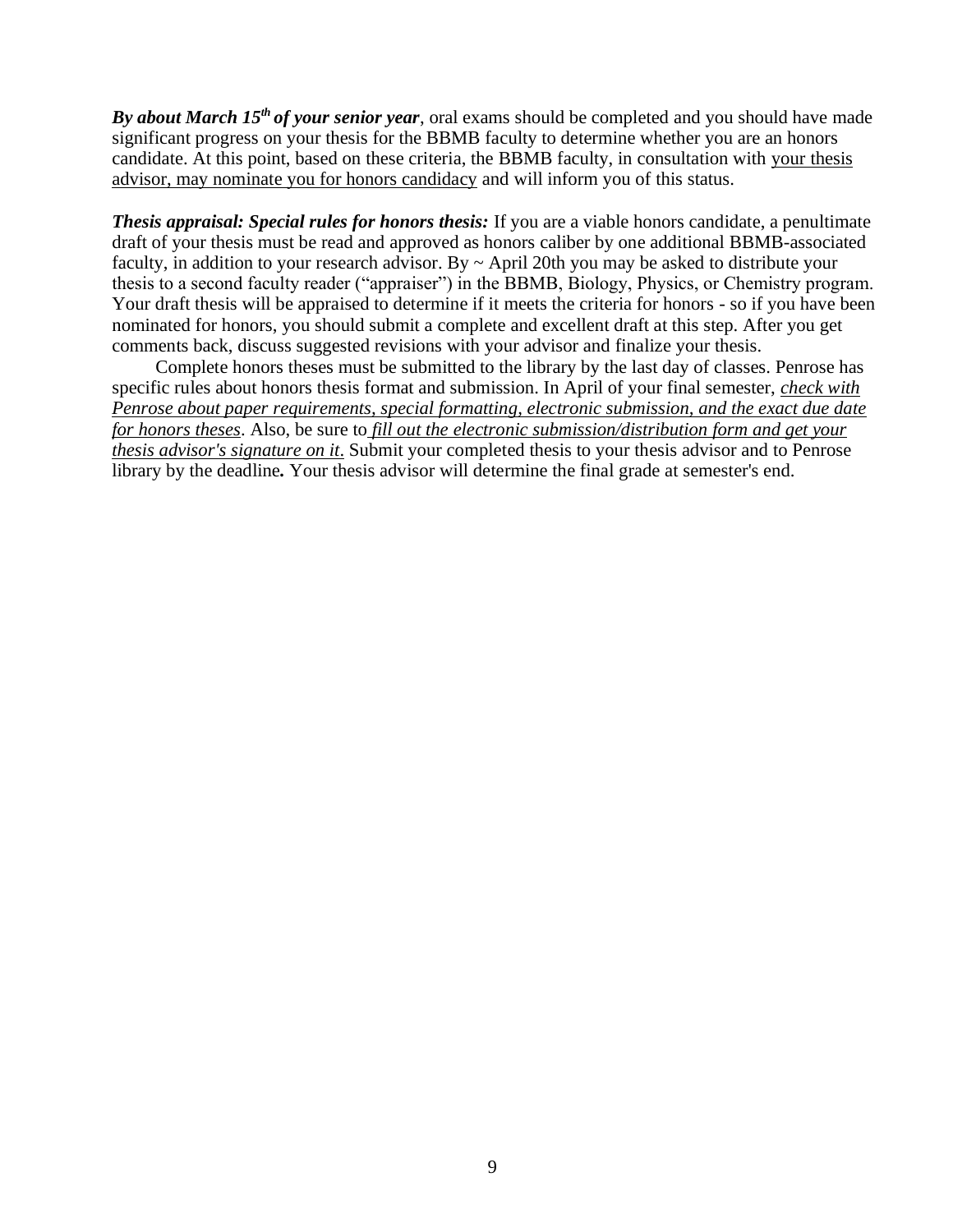*By about March 15th of your senior year*, oral exams should be completed and you should have made significant progress on your thesis for the BBMB faculty to determine whether you are an honors candidate. At this point, based on these criteria, the BBMB faculty, in consultation with your thesis advisor, may nominate you for honors candidacy and will inform you of this status.

*Thesis appraisal: Special rules for honors thesis:* If you are a viable honors candidate, a penultimate draft of your thesis must be read and approved as honors caliber by one additional BBMB-associated faculty, in addition to your research advisor. By  $\sim$  April 20th you may be asked to distribute your thesis to a second faculty reader ("appraiser") in the BBMB, Biology, Physics, or Chemistry program. Your draft thesis will be appraised to determine if it meets the criteria for honors - so if you have been nominated for honors, you should submit a complete and excellent draft at this step. After you get comments back, discuss suggested revisions with your advisor and finalize your thesis.

Complete honors theses must be submitted to the library by the last day of classes. Penrose has specific rules about honors thesis format and submission. In April of your final semester, *check with Penrose about paper requirements, special formatting, electronic submission, and the exact due date for honors theses*. Also, be sure to *fill out the electronic submission/distribution form and get your thesis advisor's signature on it*. Submit your completed thesis to your thesis advisor and to Penrose library by the deadline*.* Your thesis advisor will determine the final grade at semester's end.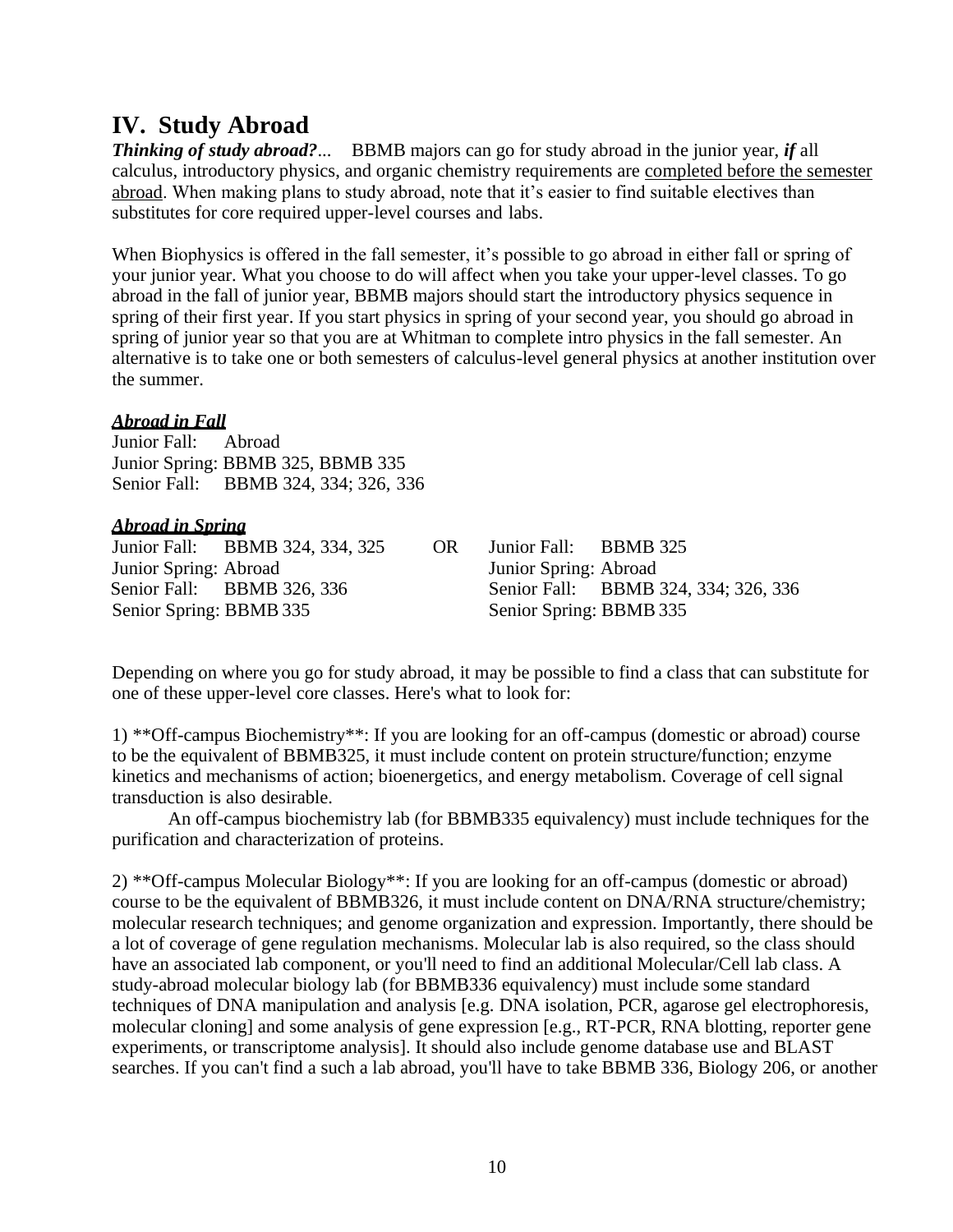## **IV. Study Abroad**

*Thinking of study abroad?*... BBMB majors can go for study abroad in the junior year, *if* all calculus, introductory physics, and organic chemistry requirements are completed before the semester abroad. When making plans to study abroad, note that it's easier to find suitable electives than substitutes for core required upper-level courses and labs.

When Biophysics is offered in the fall semester, it's possible to go abroad in either fall or spring of your junior year. What you choose to do will affect when you take your upper-level classes. To go abroad in the fall of junior year, BBMB majors should start the introductory physics sequence in spring of their first year. If you start physics in spring of your second year, you should go abroad in spring of junior year so that you are at Whitman to complete intro physics in the fall semester. An alternative is to take one or both semesters of calculus-level general physics at another institution over the summer.

## *Abroad in Fall*

Junior Fall: Abroad Junior Spring: BBMB 325, BBMB 335 Senior Fall: BBMB 324, 334; 326, 336

## *Abroad in Spring*

Junior Fall: BBMB 324, 334, 325 OR Junior Fall: BBMB 325 Junior Spring: Abroad Junior Spring: Abroad Senior Spring: BBMB 335 Senior Spring: BBMB 335

Senior Fall: BBMB 326, 336 Senior Fall: BBMB 324, 334; 326, 336

Depending on where you go for study abroad, it may be possible to find a class that can substitute for one of these upper-level core classes. Here's what to look for:

1) \*\*Off-campus Biochemistry\*\*: If you are looking for an off-campus (domestic or abroad) course to be the equivalent of BBMB325, it must include content on protein structure/function; enzyme kinetics and mechanisms of action; bioenergetics, and energy metabolism. Coverage of cell signal transduction is also desirable.

An off-campus biochemistry lab (for BBMB335 equivalency) must include techniques for the purification and characterization of proteins.

2) \*\*Off-campus Molecular Biology\*\*: If you are looking for an off-campus (domestic or abroad) course to be the equivalent of BBMB326, it must include content on DNA/RNA structure/chemistry; molecular research techniques; and genome organization and expression. Importantly, there should be a lot of coverage of gene regulation mechanisms. Molecular lab is also required, so the class should have an associated lab component, or you'll need to find an additional Molecular/Cell lab class. A study-abroad molecular biology lab (for BBMB336 equivalency) must include some standard techniques of DNA manipulation and analysis [e.g. DNA isolation, PCR, agarose gel electrophoresis, molecular cloning] and some analysis of gene expression [e.g., RT-PCR, RNA blotting, reporter gene experiments, or transcriptome analysis]. It should also include genome database use and BLAST searches. If you can't find a such a lab abroad, you'll have to take BBMB 336, Biology 206, or another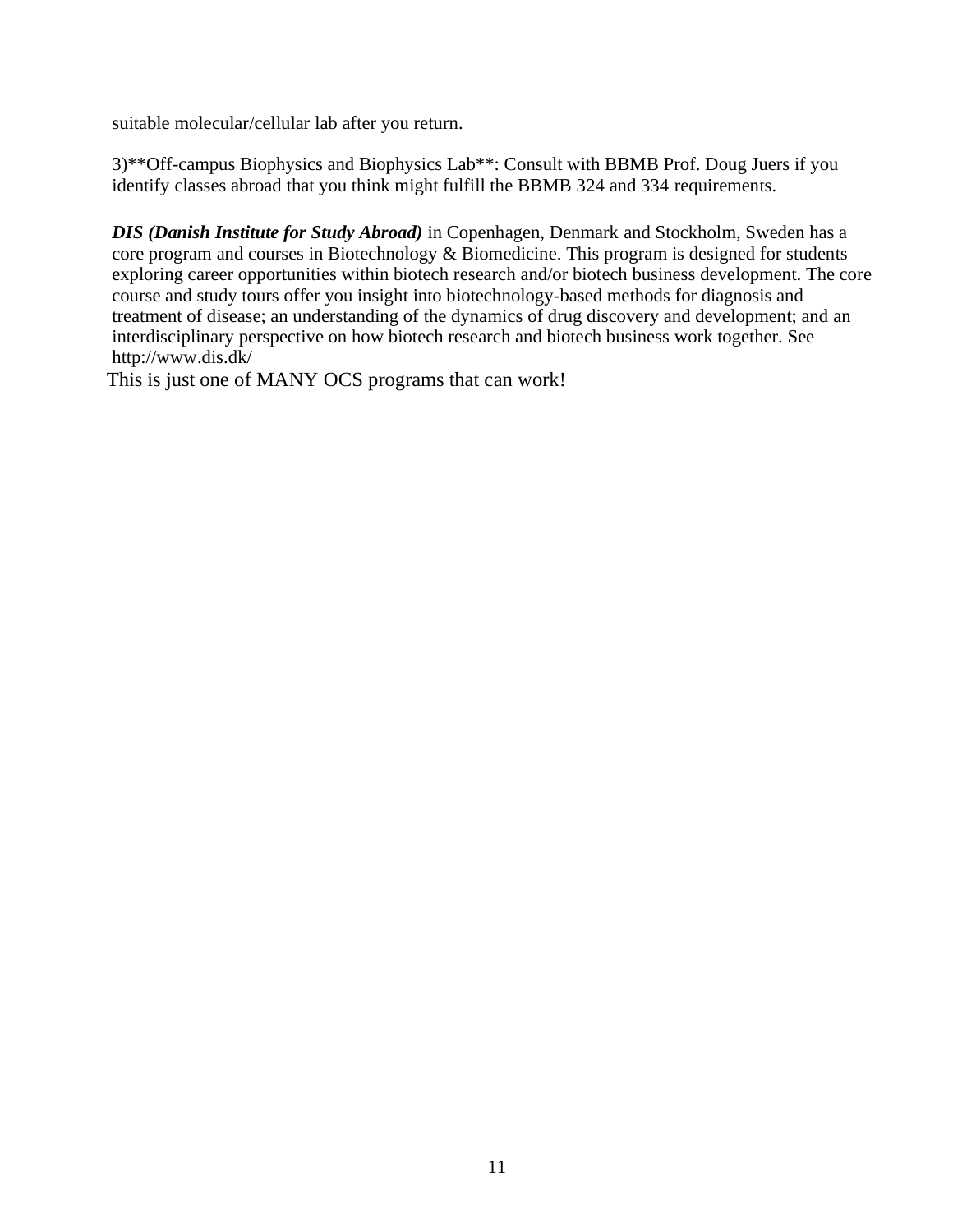suitable molecular/cellular lab after you return.

3)\*\*Off-campus Biophysics and Biophysics Lab\*\*: Consult with BBMB Prof. Doug Juers if you identify classes abroad that you think might fulfill the BBMB 324 and 334 requirements.

*DIS (Danish Institute for Study Abroad)* in Copenhagen, Denmark and Stockholm, Sweden has a core program and courses in Biotechnology & Biomedicine. This program is designed for students exploring career opportunities within biotech research and/or biotech business development. The core course and study tours offer you insight into biotechnology-based methods for diagnosis and treatment of disease; an understanding of the dynamics of drug discovery and development; and an interdisciplinary perspective on how biotech research and biotech business work together. See <http://www.dis.dk/>

This is just one of MANY OCS programs that can work!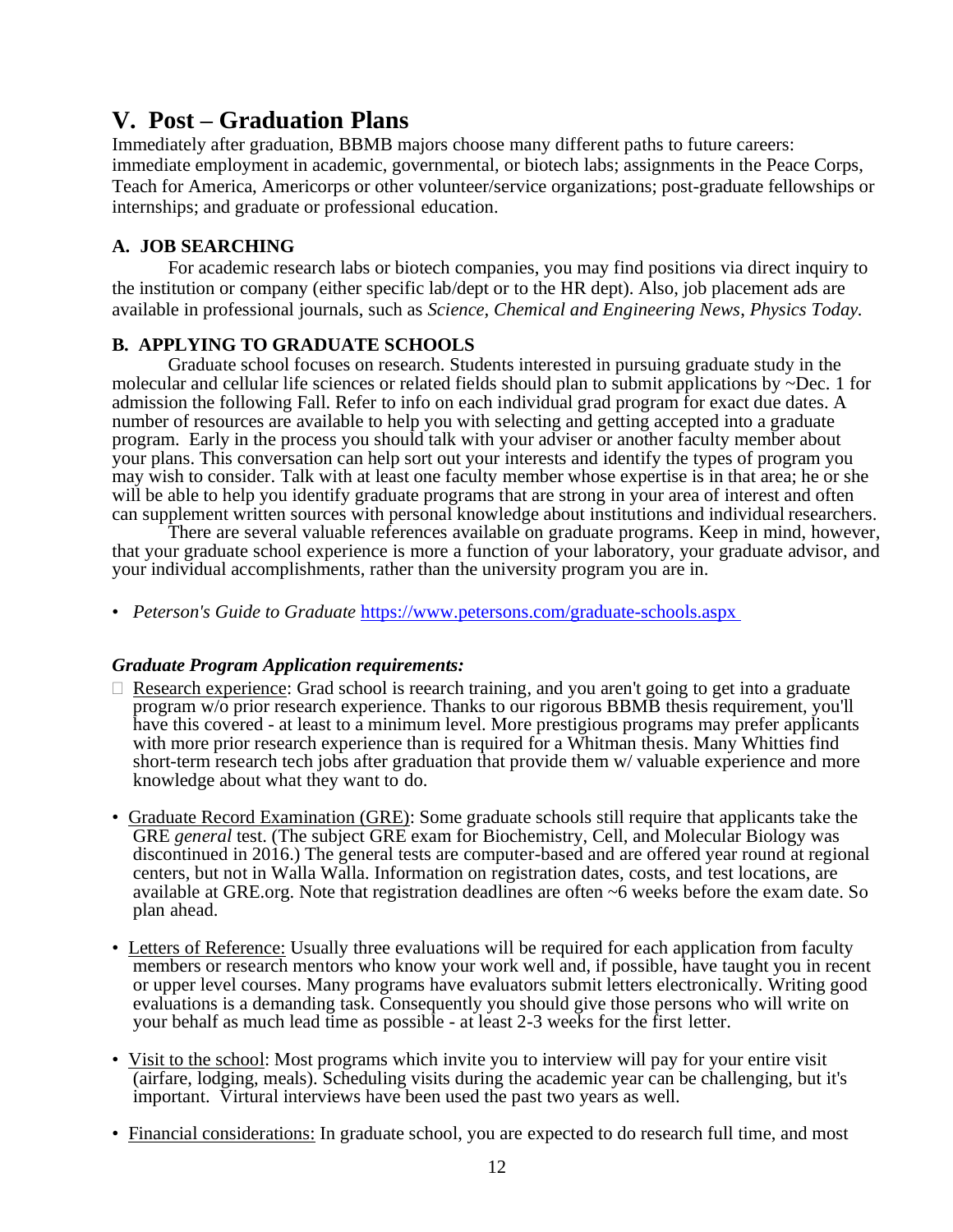## **V. Post – Graduation Plans**

Immediately after graduation, BBMB majors choose many different paths to future careers: immediate employment in academic, governmental, or biotech labs; assignments in the Peace Corps, Teach for America, Americorps or other volunteer/service organizations; post-graduate fellowships or internships; and graduate or professional education.

## **A. JOB SEARCHING**

For academic research labs or biotech companies, you may find positions via direct inquiry to the institution or company (either specific lab/dept or to the HR dept). Also, job placement ads are available in professional journals, such as *Science, Chemical and Engineering News*, *Physics Today.*

## **B. APPLYING TO GRADUATE SCHOOLS**

Graduate school focuses on research. Students interested in pursuing graduate study in the molecular and cellular life sciences or related fields should plan to submit applications by ~Dec. 1 for admission the following Fall. Refer to info on each individual grad program for exact due dates. A number of resources are available to help you with selecting and getting accepted into a graduate program. Early in the process you should talk with your adviser or another faculty member about your plans. This conversation can help sort out your interests and identify the types of program you may wish to consider. Talk with at least one faculty member whose expertise is in that area; he or she will be able to help you identify graduate programs that are strong in your area of interest and often can supplement written sources with personal knowledge about institutions and individual researchers.

There are several valuable references available on graduate programs. Keep in mind, however, that your graduate school experience is more a function of your laboratory, your graduate advisor, and your individual accomplishments, rather than the university program you are in.

• *Peterson's Guide to Graduate* https://www.petersons.com/graduate-schools.aspx

## *Graduate Program Application requirements:*

- $\Box$  Research experience: Grad school is reearch training, and you aren't going to get into a graduate program w/o prior research experience. Thanks to our rigorous BBMB thesis requirement, you'll have this covered - at least to a minimum level. More prestigious programs may prefer applicants with more prior research experience than is required for a Whitman thesis. Many Whitties find short-term research tech jobs after graduation that provide them w/ valuable experience and more knowledge about what they want to do.
- Graduate Record Examination (GRE): Some graduate schools still require that applicants take the GRE *general* test. (The subject GRE exam for Biochemistry, Cell, and Molecular Biology was discontinued in 2016.) The general tests are computer-based and are offered year round at regional centers, but not in Walla Walla. Information on registration dates, costs, and test locations, are available at GRE.org. Note that registration deadlines are often ~6 weeks before the exam date. So plan ahead.
- Letters of Reference: Usually three evaluations will be required for each application from faculty members or research mentors who know your work well and, if possible, have taught you in recent or upper level courses. Many programs have evaluators submit letters electronically. Writing good evaluations is a demanding task. Consequently you should give those persons who will write on your behalf as much lead time as possible - at least 2-3 weeks for the first letter.
- Visit to the school: Most programs which invite you to interview will pay for your entire visit (airfare, lodging, meals). Scheduling visits during the academic year can be challenging, but it's important. Virtural interviews have been used the past two years as well.
- Financial considerations: In graduate school, you are expected to do research full time, and most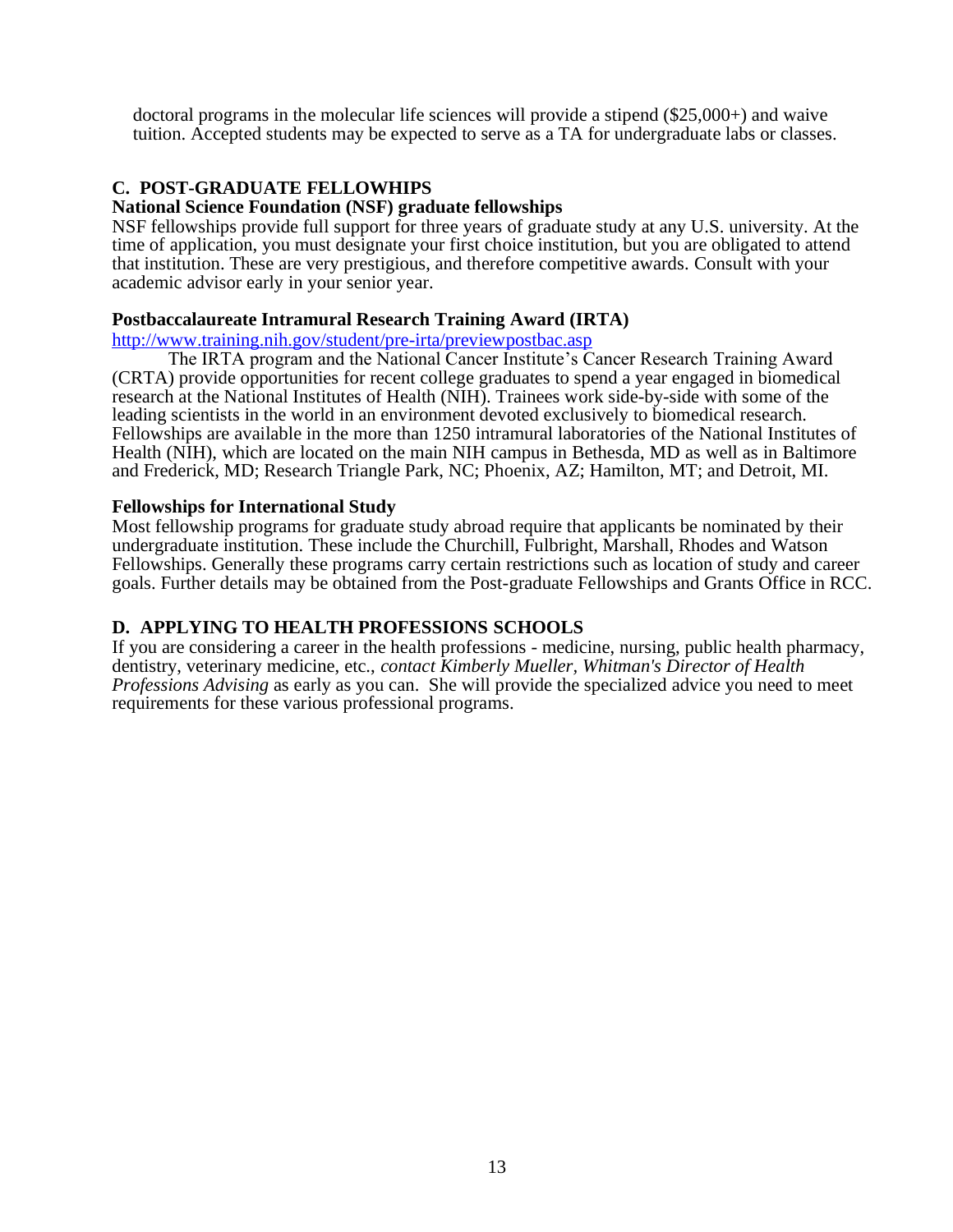doctoral programs in the molecular life sciences will provide a stipend (\$25,000+) and waive tuition. Accepted students may be expected to serve as a TA for undergraduate labs or classes.

## **C. POST-GRADUATE FELLOWHIPS**

#### **National Science Foundation (NSF) graduate fellowships**

NSF fellowships provide full support for three years of graduate study at any U.S. university. At the time of application, you must designate your first choice institution, but you are obligated to attend that institution. These are very prestigious, and therefore competitive awards. Consult with your academic advisor early in your senior year.

#### **Postbaccalaureate Intramural Research Training Award (IRTA)**

<http://www.training.nih.gov/student/pre-irta/previewpostbac.asp>

The IRTA program and the National Cancer Institute's Cancer Research Training Award (CRTA) provide opportunities for recent college graduates to spend a year engaged in biomedical research at the National Institutes of Health (NIH). Trainees work side-by-side with some of the leading scientists in the world in an environment devoted exclusively to biomedical research. Fellowships are available in the more than 1250 intramural laboratories of the National Institutes of Health (NIH), which are located on the main NIH campus in Bethesda, MD as well as in Baltimore and Frederick, MD; Research Triangle Park, NC; Phoenix, AZ; Hamilton, MT; and Detroit, MI.

#### **Fellowships for International Study**

Most fellowship programs for graduate study abroad require that applicants be nominated by their undergraduate institution. These include the Churchill, Fulbright, Marshall, Rhodes and Watson Fellowships. Generally these programs carry certain restrictions such as location of study and career goals. Further details may be obtained from the Post-graduate Fellowships and Grants Office in RCC.

## **D. APPLYING TO HEALTH PROFESSIONS SCHOOLS**

If you are considering a career in the health professions - medicine, nursing, public health pharmacy, dentistry, veterinary medicine, etc., *contact Kimberly Mueller, Whitman's Director of Health Professions Advising* as early as you can. She will provide the specialized advice you need to meet requirements for these various professional programs.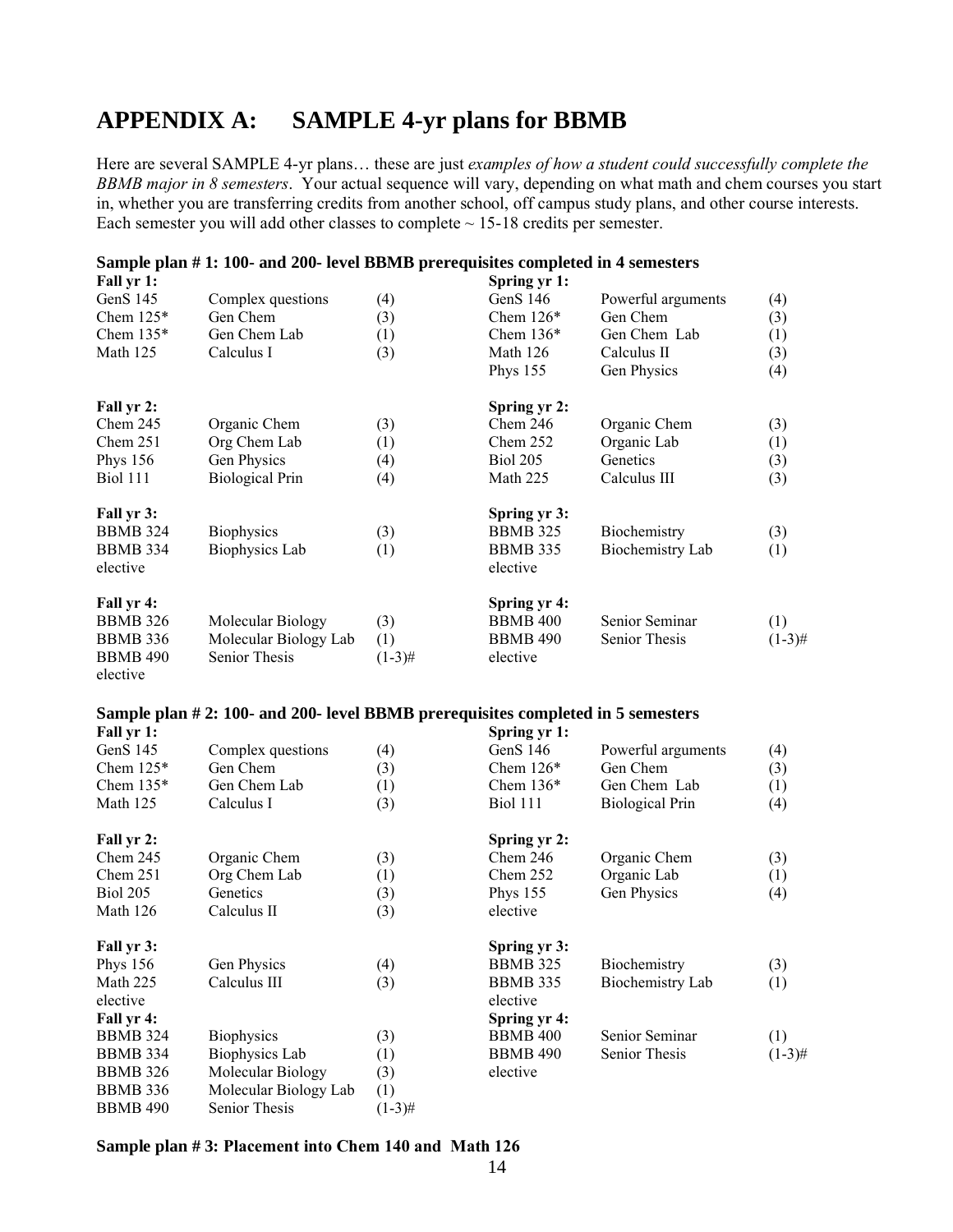## **APPENDIX A: SAMPLE 4-yr plans for BBMB**

Here are several SAMPLE 4-yr plans… these are just *examples of how a student could successfully complete the BBMB major in 8 semesters*. Your actual sequence will vary, depending on what math and chem courses you start in, whether you are transferring credits from another school, off campus study plans, and other course interests. Each semester you will add other classes to complete  $\sim$  15-18 credits per semester.

#### **Sample plan # 1: 100- and 200- level BBMB prerequisites completed in 4 semesters**

| Fall yr 1:      |                        |           | Spring yr 1:    |                    |           |
|-----------------|------------------------|-----------|-----------------|--------------------|-----------|
| GenS 145        | Complex questions      | (4)       | GenS $146$      | Powerful arguments | (4)       |
| Chem $125*$     | Gen Chem               | (3)       | Chem $126*$     | Gen Chem           | (3)       |
| Chem $135*$     | Gen Chem Lab           | (1)       | Chem $136*$     | Gen Chem Lab       | (1)       |
| Math 125        | Calculus I             | (3)       | Math 126        | Calculus II        | (3)       |
|                 |                        |           | <b>Phys 155</b> | Gen Physics        | (4)       |
| Fall yr 2:      |                        |           | Spring yr 2:    |                    |           |
| Chem 245        | Organic Chem           | (3)       | Chem $246$      | Organic Chem       | (3)       |
| Chem 251        | Org Chem Lab           | (1)       | Chem 252        | Organic Lab        | (1)       |
| Phys 156        | Gen Physics            | (4)       | <b>Biol 205</b> | Genetics           | (3)       |
| <b>Biol</b> 111 | <b>Biological Prin</b> | (4)       | Math 225        | Calculus III       | (3)       |
| Fall yr 3:      |                        |           | Spring yr 3:    |                    |           |
| <b>BBMB</b> 324 | <b>Biophysics</b>      | (3)       | <b>BBMB 325</b> | Biochemistry       | (3)       |
| <b>BBMB</b> 334 | <b>Biophysics Lab</b>  | (1)       | <b>BBMB</b> 335 | Biochemistry Lab   | (1)       |
| elective        |                        |           | elective        |                    |           |
| Fall yr 4:      |                        |           | Spring yr 4:    |                    |           |
| <b>BBMB 326</b> | Molecular Biology      | (3)       | <b>BBMB 400</b> | Senior Seminar     | (1)       |
| <b>BBMB 336</b> | Molecular Biology Lab  | (1)       | <b>BBMB 490</b> | Senior Thesis      | $(1-3)$ # |
| <b>BBMB 490</b> | <b>Senior Thesis</b>   | $(1-3)$ # | elective        |                    |           |
| elective        |                        |           |                 |                    |           |

#### **Sample plan # 2: 100- and 200- level BBMB prerequisites completed in 5 semesters**

| Fall yr 1:      |                       |                  | Spring yr 1:    |                        |           |
|-----------------|-----------------------|------------------|-----------------|------------------------|-----------|
| GenS 145        | Complex questions     | (4)              | GenS $146$      | Powerful arguments     | (4)       |
| Chem $125*$     | Gen Chem              | (3)              | Chem $126*$     | Gen Chem               | (3)       |
| Chem $135*$     | Gen Chem Lab          | (1)              | Chem $136*$     | Gen Chem Lab           | (1)       |
| Math 125        | Calculus I            | (3)              | <b>Biol 111</b> | <b>Biological Prin</b> | (4)       |
| Fall yr 2:      |                       |                  | Spring yr 2:    |                        |           |
| Chem 245        | Organic Chem          | (3)              | Chem 246        | Organic Chem           | (3)       |
| Chem 251        | Org Chem Lab          | $\left(1\right)$ | Chem $252$      | Organic Lab            | (1)       |
| <b>Biol 205</b> | Genetics              | (3)              | <b>Phys 155</b> | Gen Physics            | (4)       |
| Math 126        | Calculus II           | (3)              | elective        |                        |           |
| Fall yr 3:      |                       |                  | Spring yr 3:    |                        |           |
| <b>Phys 156</b> | Gen Physics           | (4)              | <b>BBMB</b> 325 | Biochemistry           | (3)       |
| Math 225        | Calculus III          | (3)              | <b>BBMB 335</b> | Biochemistry Lab       | (1)       |
| elective        |                       |                  | elective        |                        |           |
| Fall yr 4:      |                       |                  | Spring yr 4:    |                        |           |
| <b>BBMB</b> 324 | <b>Biophysics</b>     | (3)              | <b>BBMB 400</b> | Senior Seminar         | (1)       |
| <b>BBMB 334</b> | Biophysics Lab        | (1)              | <b>BBMB 490</b> | Senior Thesis          | $(1-3)$ # |
| <b>BBMB</b> 326 | Molecular Biology     | (3)              | elective        |                        |           |
| <b>BBMB</b> 336 | Molecular Biology Lab | (1)              |                 |                        |           |
| <b>BBMB 490</b> | <b>Senior Thesis</b>  | $(1-3)$ #        |                 |                        |           |

#### **Sample plan # 3: Placement into Chem 140 and Math 126**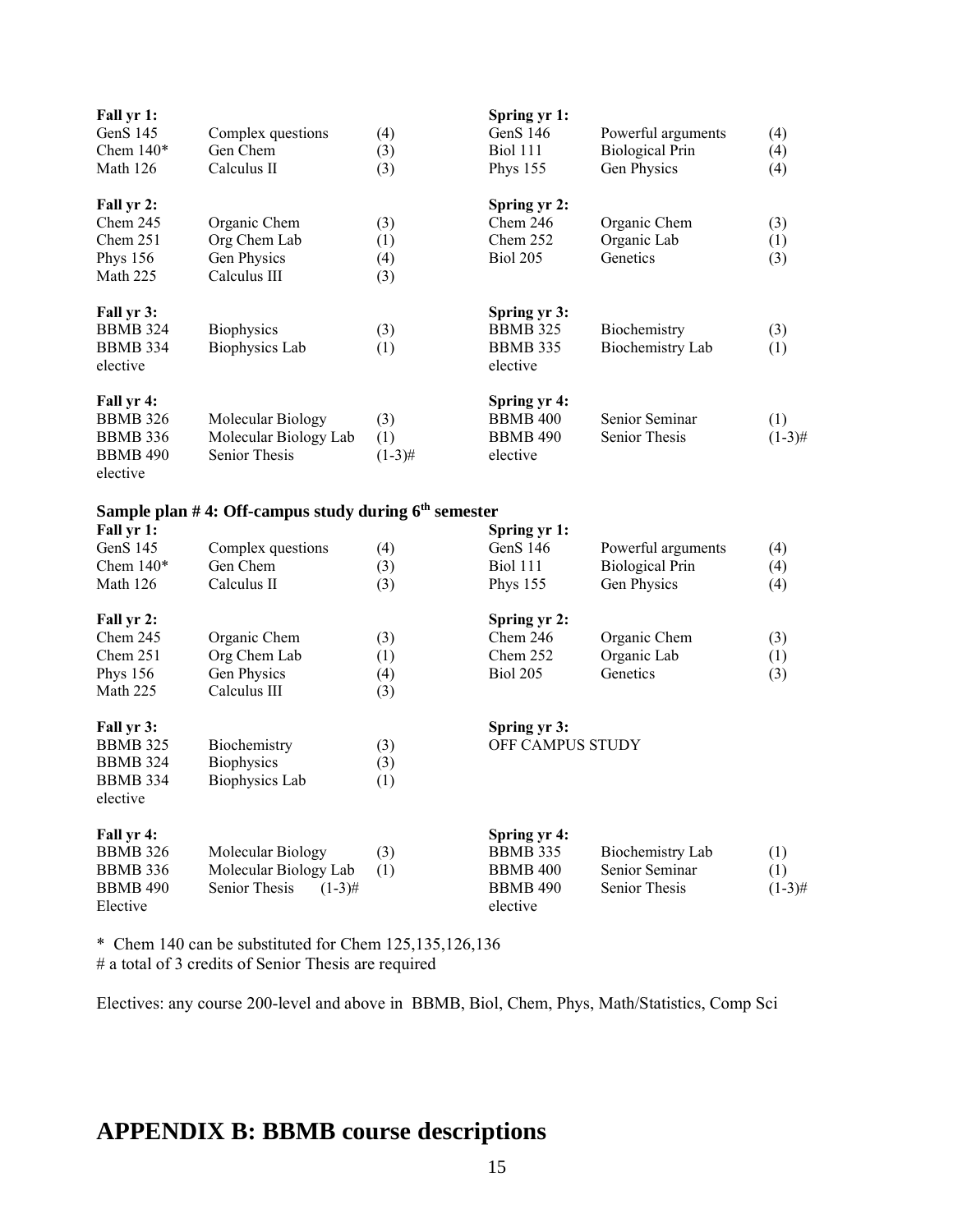| Fall yr 1:<br>GenS 145<br>Chem $140*$<br>Math 126                               | Complex questions<br>Gen Chem<br>Calculus II                | (4)<br>(3)<br>(3)        | Spring yr 1:<br>GenS 146<br><b>Biol 111</b><br><b>Phys 155</b> | Powerful arguments<br><b>Biological Prin</b><br>Gen Physics | (4)<br>(4)<br>(4) |
|---------------------------------------------------------------------------------|-------------------------------------------------------------|--------------------------|----------------------------------------------------------------|-------------------------------------------------------------|-------------------|
| Fall yr 2:<br>Chem 245<br>Chem 251<br><b>Phys 156</b><br>Math 225               | Organic Chem<br>Org Chem Lab<br>Gen Physics<br>Calculus III | (3)<br>(1)<br>(4)<br>(3) | Spring yr 2:<br>Chem 246<br>Chem 252<br>Biol 205               | Organic Chem<br>Organic Lab<br>Genetics                     | (3)<br>(1)<br>(3) |
| Fall yr 3:<br><b>BBMB 324</b><br><b>BBMB 334</b><br>elective                    | Biophysics<br><b>Biophysics Lab</b>                         | (3)<br>(1)               | Spring yr 3:<br><b>BBMB 325</b><br><b>BBMB 335</b><br>elective | Biochemistry<br><b>Biochemistry Lab</b>                     | (3)<br>(1)        |
| Fall yr 4:<br><b>BBMB 326</b><br><b>BBMB 336</b><br><b>BBMB 490</b><br>elective | Molecular Biology<br>Molecular Biology Lab<br>Senior Thesis | (3)<br>(1)<br>$(1-3)$ #  | Spring yr 4:<br><b>BBMB 400</b><br><b>BBMB 490</b><br>elective | Senior Seminar<br>Senior Thesis                             | (1)<br>$(1-3)$ #  |
|                                                                                 | Sample plan #4: Off-campus study during $6th$ semester      |                          |                                                                |                                                             |                   |
| Fall yr 1:                                                                      |                                                             |                          | Spring yr 1:                                                   |                                                             |                   |
| GenS 145                                                                        | Complex questions                                           | (4)                      | GenS 146                                                       | Powerful arguments                                          | (4)               |
| Chem $140*$                                                                     | Gen Chem                                                    | (3)                      | <b>Biol 111</b>                                                | <b>Biological Prin</b>                                      | (4)               |
| Math 126                                                                        | Calculus II                                                 | (3)                      | Phys 155                                                       | Gen Physics                                                 | (4)               |
| Fall yr 2:                                                                      |                                                             |                          | Spring yr 2:                                                   |                                                             |                   |
| Chem 245                                                                        | Organic Chem                                                | (3)                      | Chem 246                                                       | Organic Chem                                                | (3)               |
| Chem 251                                                                        | Org Chem Lab                                                | (1)                      | Chem 252                                                       | Organic Lab                                                 | (1)               |
| <b>Phys 156</b>                                                                 | Gen Physics                                                 | (4)                      | Biol 205                                                       | Genetics                                                    | (3)               |
| Math 225                                                                        | Calculus III                                                | (3)                      |                                                                |                                                             |                   |
| Fall yr 3:<br><b>BBMB 325</b><br><b>BBMB 324</b><br><b>BBMB 334</b>             | Biochemistry<br><b>Biophysics</b><br><b>Biophysics Lab</b>  | (3)<br>(3)<br>(1)        | Spring yr 3:<br>OFF CAMPUS STUDY                               |                                                             |                   |
| elective                                                                        |                                                             |                          |                                                                |                                                             |                   |

| Fall yr 4:      |                            |     | Spring yr 4:    |                  |           |
|-----------------|----------------------------|-----|-----------------|------------------|-----------|
| <b>BBMB</b> 326 | Molecular Biology          | (3) | <b>BBMB</b> 335 | Biochemistry Lab | (1)       |
| BBMB 336        | Molecular Biology Lab      |     | BBMB 400        | Senior Seminar   |           |
| <b>BBMB 490</b> | Senior Thesis<br>$(1-3)$ # |     | <b>BBMB 490</b> | Senior Thesis    | $(1-3)$ # |
| Elective        |                            |     | elective        |                  |           |

\* Chem 140 can be substituted for Chem 125,135,126,136 # a total of 3 credits of Senior Thesis are required

Electives: any course 200-level and above in BBMB, Biol, Chem, Phys, Math/Statistics, Comp Sci

## **APPENDIX B: BBMB course descriptions**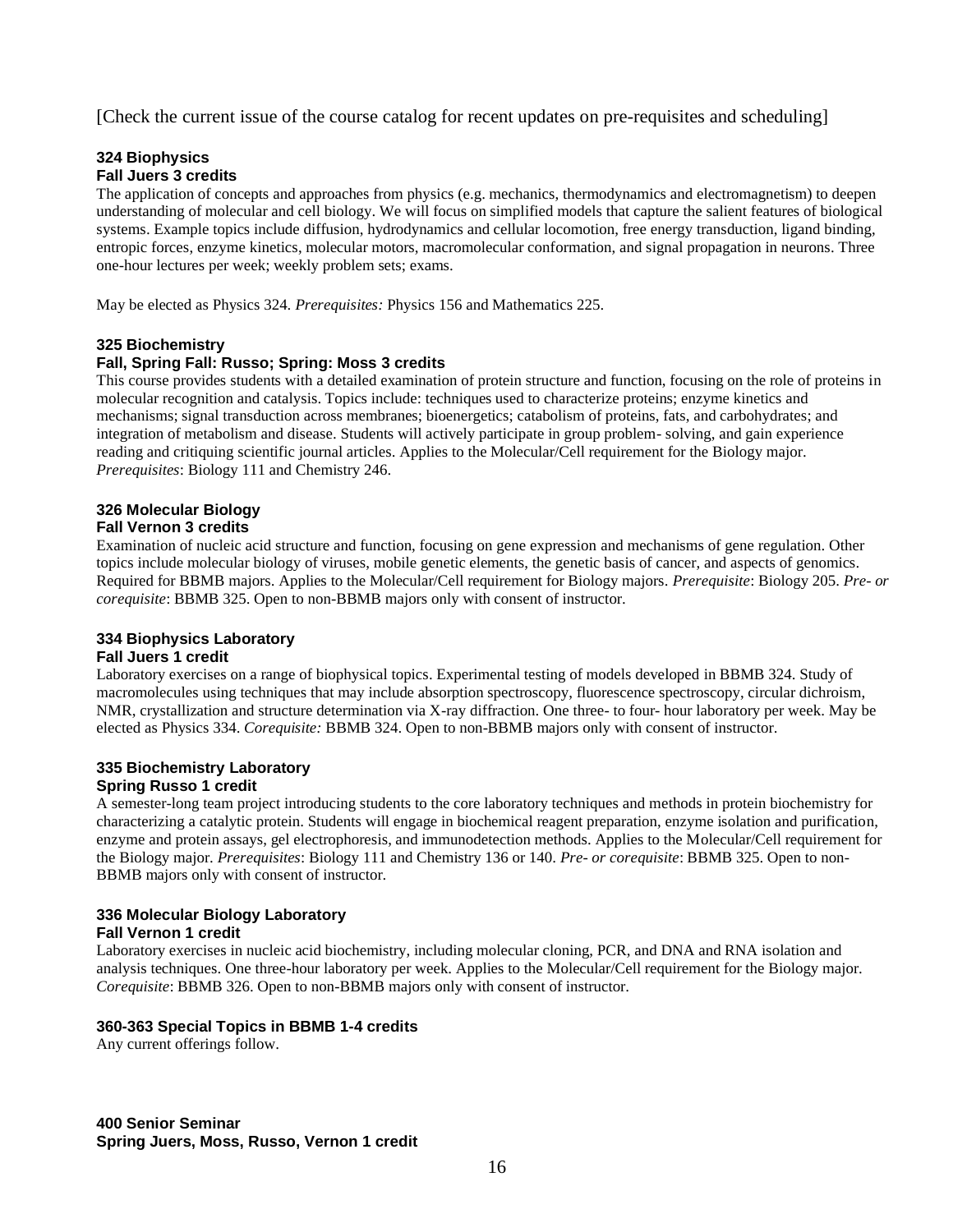[Check the current issue of the course catalog for recent updates on pre-requisites and scheduling]

#### **324 Biophysics Fall Juers 3 credits**

The application of concepts and approaches from physics (e.g. mechanics, thermodynamics and electromagnetism) to deepen understanding of molecular and cell biology. We will focus on simplified models that capture the salient features of biological systems. Example topics include diffusion, hydrodynamics and cellular locomotion, free energy transduction, ligand binding, entropic forces, enzyme kinetics, molecular motors, macromolecular conformation, and signal propagation in neurons. Three one-hour lectures per week; weekly problem sets; exams.

May be elected as Physics 324. *Prerequisites:* Physics 156 and Mathematics 225.

#### **325 Biochemistry**

#### **Fall, Spring Fall: Russo; Spring: Moss 3 credits**

This course provides students with a detailed examination of protein structure and function, focusing on the role of proteins in molecular recognition and catalysis. Topics include: techniques used to characterize proteins; enzyme kinetics and mechanisms; signal transduction across membranes; bioenergetics; catabolism of proteins, fats, and carbohydrates; and integration of metabolism and disease. Students will actively participate in group problem- solving, and gain experience reading and critiquing scientific journal articles. Applies to the Molecular/Cell requirement for the Biology major. *Prerequisites*: Biology 111 and Chemistry 246.

#### **326 Molecular Biology**

#### **Fall Vernon 3 credits**

Examination of nucleic acid structure and function, focusing on gene expression and mechanisms of gene regulation. Other topics include molecular biology of viruses, mobile genetic elements, the genetic basis of cancer, and aspects of genomics. Required for BBMB majors. Applies to the Molecular/Cell requirement for Biology majors. *Prerequisite*: Biology 205. *Pre- or corequisite*: BBMB 325. Open to non-BBMB majors only with consent of instructor.

#### **334 Biophysics Laboratory**

#### **Fall Juers 1 credit**

Laboratory exercises on a range of biophysical topics. Experimental testing of models developed in BBMB 324. Study of macromolecules using techniques that may include absorption spectroscopy, fluorescence spectroscopy, circular dichroism, NMR, crystallization and structure determination via X-ray diffraction. One three- to four- hour laboratory per week. May be elected as Physics 334. *Corequisite:* BBMB 324. Open to non-BBMB majors only with consent of instructor.

#### **335 Biochemistry Laboratory Spring Russo 1 credit**

A semester-long team project introducing students to the core laboratory techniques and methods in protein biochemistry for characterizing a catalytic protein. Students will engage in biochemical reagent preparation, enzyme isolation and purification, enzyme and protein assays, gel electrophoresis, and immunodetection methods. Applies to the Molecular/Cell requirement for the Biology major. *Prerequisites*: Biology 111 and Chemistry 136 or 140. *Pre- or corequisite*: BBMB 325. Open to non-BBMB majors only with consent of instructor.

#### **336 Molecular Biology Laboratory Fall Vernon 1 credit**

Laboratory exercises in nucleic acid biochemistry, including molecular cloning, PCR, and DNA and RNA isolation and analysis techniques. One three-hour laboratory per week. Applies to the Molecular/Cell requirement for the Biology major. *Corequisite*: BBMB 326. Open to non-BBMB majors only with consent of instructor.

#### **360-363 Special Topics in BBMB 1-4 credits**

Any current offerings follow.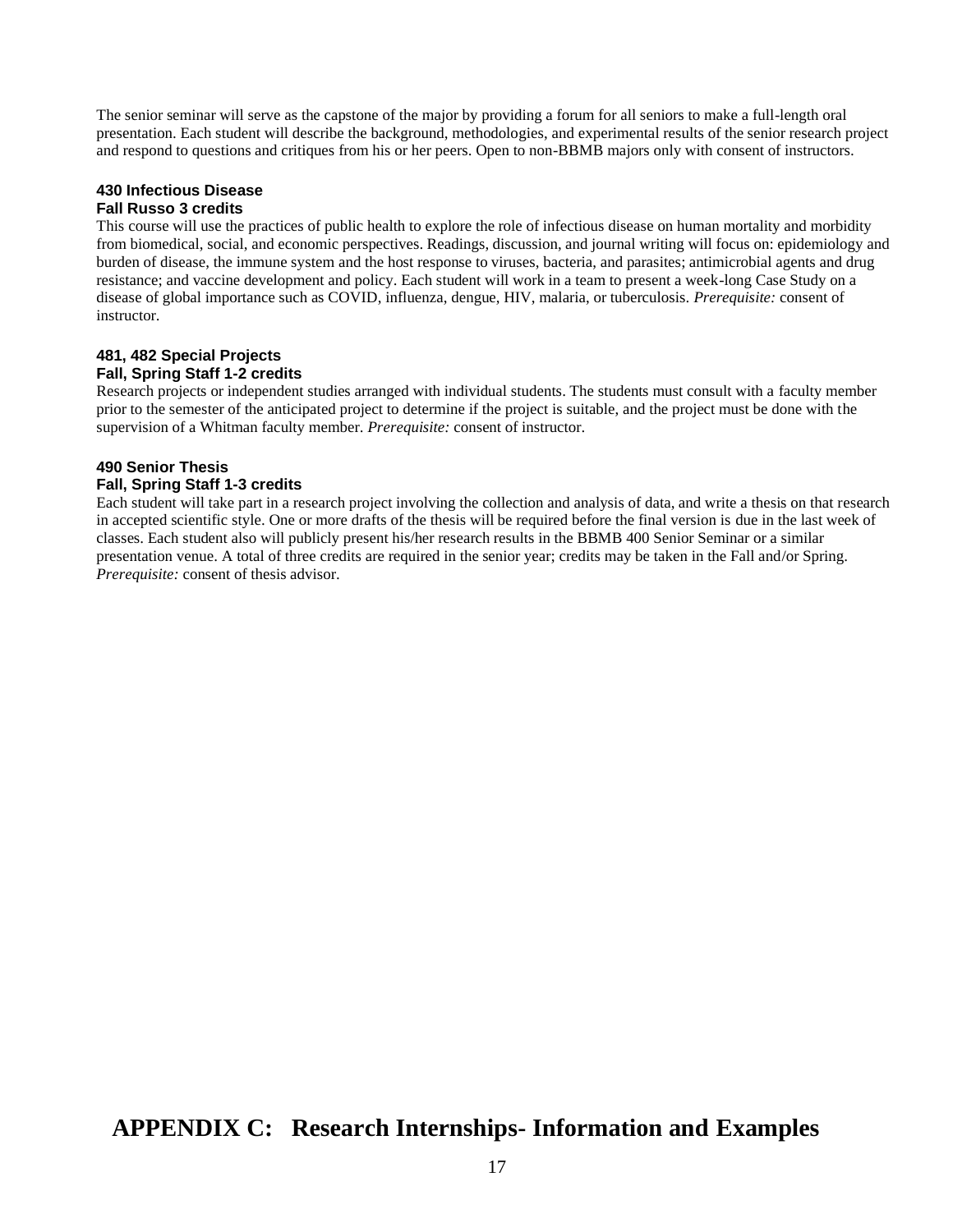The senior seminar will serve as the capstone of the major by providing a forum for all seniors to make a full-length oral presentation. Each student will describe the background, methodologies, and experimental results of the senior research project and respond to questions and critiques from his or her peers. Open to non-BBMB majors only with consent of instructors.

#### **430 Infectious Disease Fall Russo 3 credits**

This course will use the practices of public health to explore the role of infectious disease on human mortality and morbidity from biomedical, social, and economic perspectives. Readings, discussion, and journal writing will focus on: epidemiology and burden of disease, the immune system and the host response to viruses, bacteria, and parasites; antimicrobial agents and drug resistance; and vaccine development and policy. Each student will work in a team to present a week-long Case Study on a disease of global importance such as COVID, influenza, dengue, HIV, malaria, or tuberculosis. *Prerequisite:* consent of instructor.

#### **481, 482 Special Projects Fall, Spring Staff 1-2 credits**

Research projects or independent studies arranged with individual students. The students must consult with a faculty member prior to the semester of the anticipated project to determine if the project is suitable, and the project must be done with the supervision of a Whitman faculty member. *Prerequisite:* consent of instructor.

### **490 Senior Thesis Fall, Spring Staff 1-3 credits**

Each student will take part in a research project involving the collection and analysis of data, and write a thesis on that research in accepted scientific style. One or more drafts of the thesis will be required before the final version is due in the last week of classes. Each student also will publicly present his/her research results in the BBMB 400 Senior Seminar or a similar presentation venue. A total of three credits are required in the senior year; credits may be taken in the Fall and/or Spring. *Prerequisite:* consent of thesis advisor.

## **APPENDIX C: Research Internships- Information and Examples**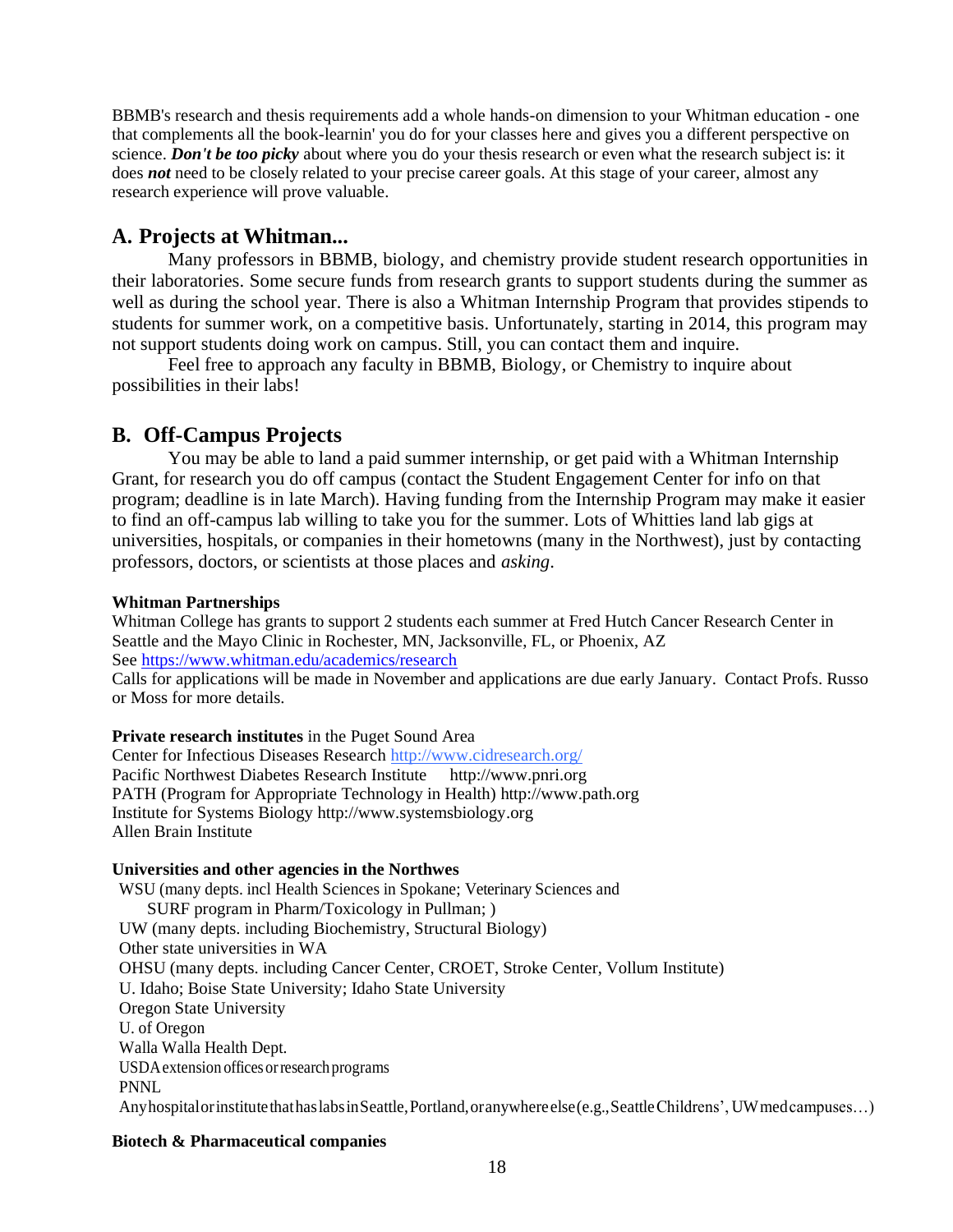BBMB's research and thesis requirements add a whole hands-on dimension to your Whitman education - one that complements all the book-learnin' you do for your classes here and gives you a different perspective on science. *Don't be too picky* about where you do your thesis research or even what the research subject is: it does *not* need to be closely related to your precise career goals. At this stage of your career, almost any research experience will prove valuable.

## **A. Projects at Whitman...**

Many professors in BBMB, biology, and chemistry provide student research opportunities in their laboratories. Some secure funds from research grants to support students during the summer as well as during the school year. There is also a Whitman Internship Program that provides stipends to students for summer work, on a competitive basis. Unfortunately, starting in 2014, this program may not support students doing work on campus. Still, you can contact them and inquire.

Feel free to approach any faculty in BBMB, Biology, or Chemistry to inquire about possibilities in their labs!

## **B. Off-Campus Projects**

You may be able to land a paid summer internship, or get paid with a Whitman Internship Grant, for research you do off campus (contact the Student Engagement Center for info on that program; deadline is in late March). Having funding from the Internship Program may make it easier to find an off-campus lab willing to take you for the summer. Lots of Whitties land lab gigs at universities, hospitals, or companies in their hometowns (many in the Northwest), just by contacting professors, doctors, or scientists at those places and *asking*.

#### **Whitman Partnerships**

Whitman College has grants to support 2 students each summer at Fred Hutch Cancer Research Center in Seattle and the Mayo Clinic in Rochester, MN, Jacksonville, FL, or Phoenix, AZ Se[e https://www.whitman.edu/academics/research](https://www.whitman.edu/academics/research)

Calls for applications will be made in November and applications are due early January. Contact Profs. Russo or Moss for more details.

## **Private research institutes** in the Puget Sound Area

Center for Infectious Diseases Researc[h http://www.cidresearch.org/](http://www.cidresearch.org/) Pacific Northwest Diabetes Research Institute [http://www.pnri.org](http://www.pnri.org/) PATH (Program for Appropriate Technology in Health) [http://www.path.org](http://www.path.org/) Institute for Systems Biology [http://www.systemsbiology.org](http://www.systemsbiology.org/) Allen Brain Institute

#### **Universities and other agencies in the Northwes**

WSU (many depts. incl Health Sciences in Spokane; Veterinary Sciences and SURF program in Pharm/Toxicology in Pullman; ) UW (many depts. including Biochemistry, Structural Biology) Other state universities in WA OHSU (many depts. including Cancer Center, CROET, Stroke Center, Vollum Institute) U. Idaho; Boise State University; Idaho State University Oregon State University U. of Oregon Walla Walla Health Dept. USDAextension officesorresearchprograms PNNL AnyhospitalorinstitutethathaslabsinSeattle,Portland,oranywhereelse(e.g.,SeattleChildrens', UWmedcampuses…)

## **Biotech & Pharmaceutical companies**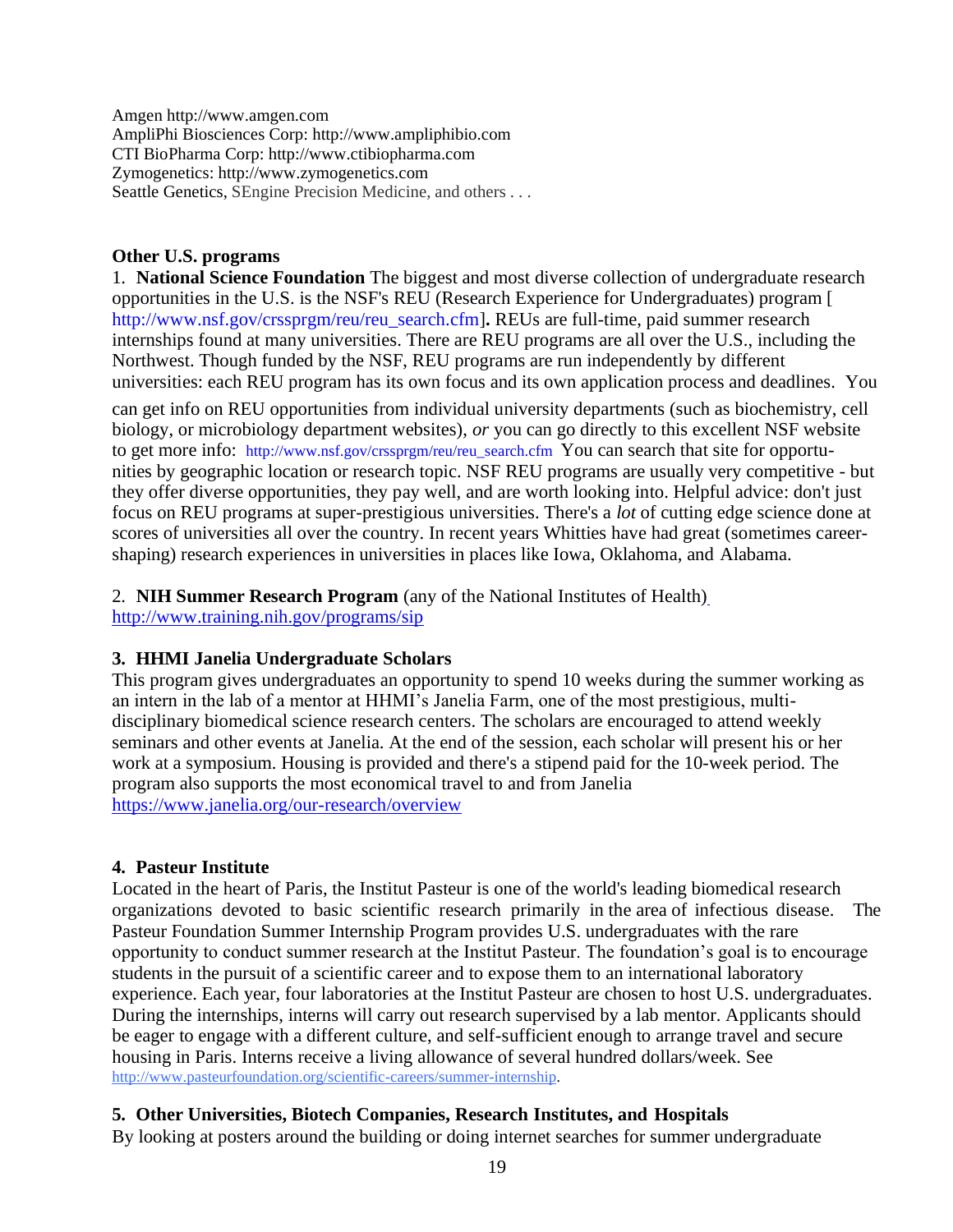Amgen [http://www.amgen.com](http://www.amgen.com/) AmpliPhi Biosciences Corp[: http://www.ampliphibio.com](http://www.ampliphibio.com/) CTI BioPharma Corp: [http://www.ctibiopharma.com](http://www.ctibiopharma.com/) Zymogenetics: [http://www.zymogenetics.com](http://www.zymogenetics.com/) Seattle Genetics, SEngine Precision Medicine, and others . . .

## **Other U.S. programs**

1. **National Science Foundation** The biggest and most diverse collection of undergraduate research opportunities in the U.S. is the NSF's REU (Research Experience for Undergraduates) program [ [http://www.nsf.gov/crssprgm/reu/reu\\_search.cfm\]](http://www.nsf.gov/crssprgm/reu/reu_search.cfm). REUs are full-time, paid summer research internships found at many universities. There are REU programs are all over the U.S., including the Northwest. Though funded by the NSF, REU programs are run independently by different universities: each REU program has its own focus and its own application process and deadlines. You

can get info on REU opportunities from individual university departments (such as biochemistry, cell biology, or microbiology department websites), *or* you can go directly to this excellent NSF website to get more info: [http://www.nsf.gov/crssprgm/reu/reu\\_search.cfm](http://www.nsf.gov/crssprgm/reu/reu_search.cfm) You can search that site for opportunities by geographic location or research topic. NSF REU programs are usually very competitive - but they offer diverse opportunities, they pay well, and are worth looking into. Helpful advice: don't just focus on REU programs at super-prestigious universities. There's a *lot* of cutting edge science done at scores of universities all over the country. In recent years Whitties have had great (sometimes careershaping) research experiences in universities in places like Iowa, Oklahoma, and Alabama.

2. **NIH Summer Research Program** (any of the National Institutes of Health) <http://www.training.nih.gov/programs/sip>

## **3. HHMI Janelia Undergraduate Scholars**

This program gives undergraduates an opportunity to spend 10 weeks during the summer working as an intern in the lab of a mentor at HHMI's Janelia Farm, one of the most prestigious, multidisciplinary biomedical science research centers. The scholars are encouraged to attend weekly seminars and other events at Janelia. At the end of the session, each scholar will present his or her work at a symposium. Housing is provided and there's a stipend paid for the 10-week period. The program also supports the most economical travel to and from Janelia <https://www.janelia.org/our-research/overview>

## **4. Pasteur Institute**

Located in the heart of Paris, the Institut Pasteur is one of the world's leading biomedical research organizations devoted to basic scientific research primarily in the area of infectious disease. The Pasteur Foundation Summer Internship Program provides U.S. undergraduates with the rare opportunity to conduct summer research at the Institut Pasteur. The foundation's goal is to encourage students in the pursuit of a scientific career and to expose them to an international laboratory experience. Each year, four laboratories at the Institut Pasteur are chosen to host U.S. undergraduates. During the internships, interns will carry out research supervised by a lab mentor. Applicants should be eager to engage with a different culture, and self-sufficient enough to arrange travel and secure housing in Paris. Interns receive a living allowance of several hundred dollars/week. See [http://www.pasteurfoundation.org/scientific-careers/summer-internship.](http://www.pasteurfoundation.org/scientific-careers/summer-internship)

## **5. Other Universities, Biotech Companies, Research Institutes, and Hospitals**

By looking at posters around the building or doing internet searches for summer undergraduate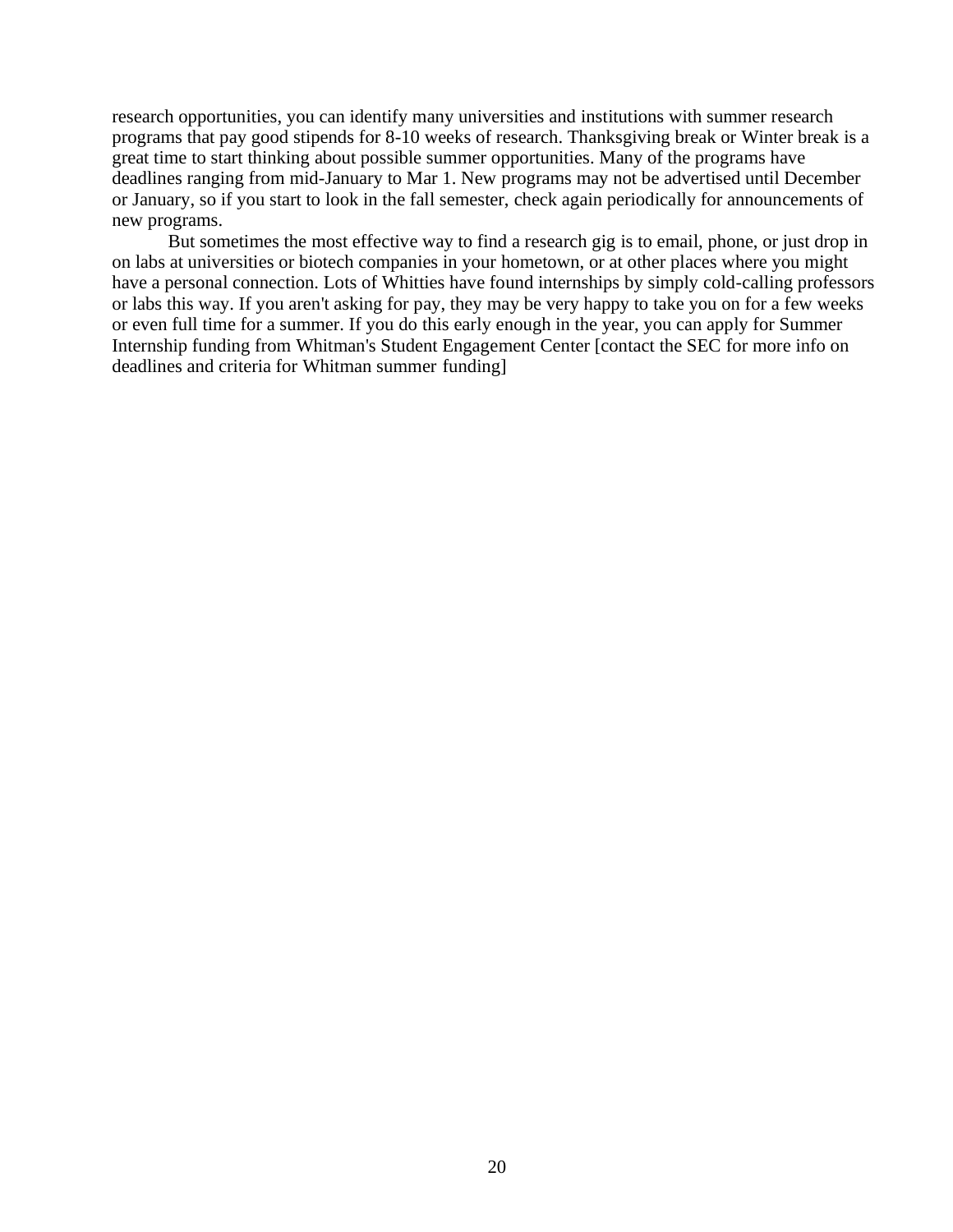research opportunities, you can identify many universities and institutions with summer research programs that pay good stipends for 8-10 weeks of research. Thanksgiving break or Winter break is a great time to start thinking about possible summer opportunities. Many of the programs have deadlines ranging from mid-January to Mar 1. New programs may not be advertised until December or January, so if you start to look in the fall semester, check again periodically for announcements of new programs.

But sometimes the most effective way to find a research gig is to email, phone, or just drop in on labs at universities or biotech companies in your hometown, or at other places where you might have a personal connection. Lots of Whitties have found internships by simply cold-calling professors or labs this way. If you aren't asking for pay, they may be very happy to take you on for a few weeks or even full time for a summer. If you do this early enough in the year, you can apply for Summer Internship funding from Whitman's Student Engagement Center [contact the SEC for more info on deadlines and criteria for Whitman summer funding]